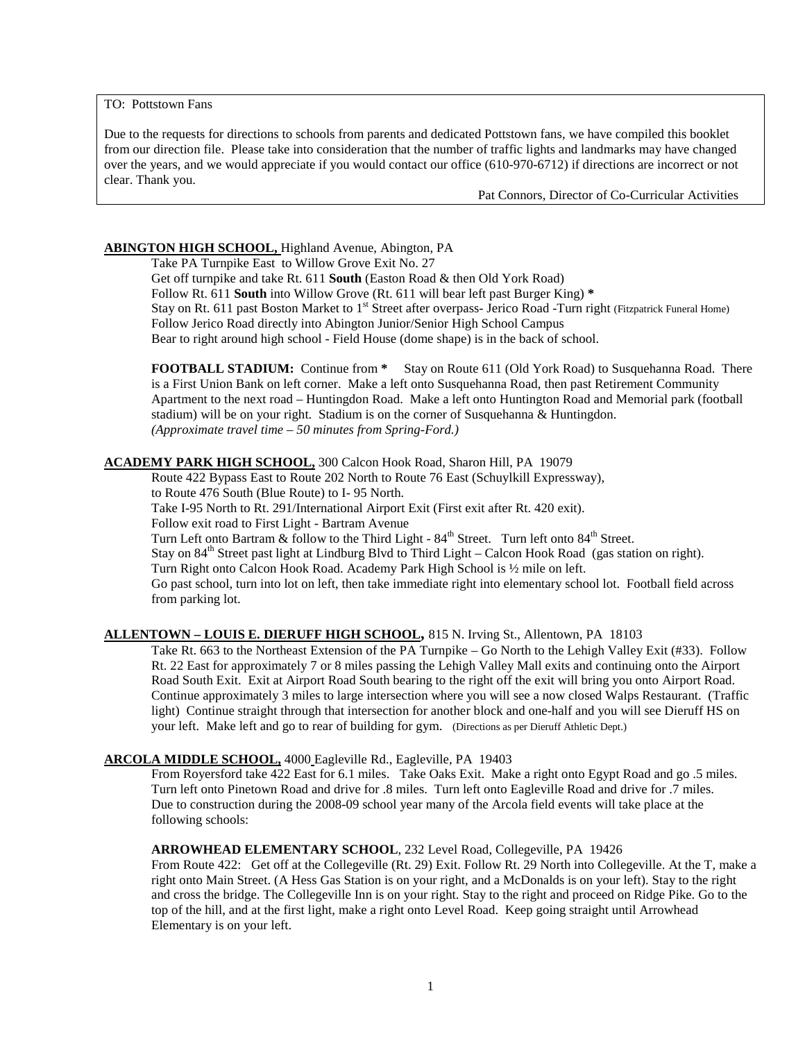TO: Pottstown Fans

Due to the requests for directions to schools from parents and dedicated Pottstown fans, we have compiled this booklet from our direction file. Please take into consideration that the number of traffic lights and landmarks may have changed over the years, and we would appreciate if you would contact our office (610-970-6712) if directions are incorrect or not clear. Thank you.

Pat Connors, Director of Co-Curricular Activities

# **ABINGTON HIGH SCHOOL,**  Highland Avenue, Abington, PA

Take PA Turnpike East to Willow Grove Exit No. 27

Get off turnpike and take Rt. 611 **South** (Easton Road & then Old York Road) Follow Rt. 611 **South** into Willow Grove (Rt. 611 will bear left past Burger King) **\*** Stay on Rt. 611 past Boston Market to 1<sup>st</sup> Street after overpass- Jerico Road -Turn right (Fitzpatrick Funeral Home) Follow Jerico Road directly into Abington Junior/Senior High School Campus Bear to right around high school - Field House (dome shape) is in the back of school.

**FOOTBALL STADIUM:** Continue from **\*** Stay on Route 611 (Old York Road) to Susquehanna Road. There is a First Union Bank on left corner. Make a left onto Susquehanna Road, then past Retirement Community Apartment to the next road – Huntingdon Road. Make a left onto Huntington Road and Memorial park (football stadium) will be on your right. Stadium is on the corner of Susquehanna & Huntingdon. *(Approximate travel time – 50 minutes from Spring-Ford.)*

# **ACADEMY PARK HIGH SCHOOL,** 300 Calcon Hook Road, Sharon Hill, PA 19079

Route 422 Bypass East to Route 202 North to Route 76 East (Schuylkill Expressway),

to Route 476 South (Blue Route) to I- 95 North.

Take I-95 North to Rt. 291/International Airport Exit (First exit after Rt. 420 exit).

Follow exit road to First Light - Bartram Avenue

Turn Left onto Bartram & follow to the Third Light -  $84^{th}$  Street. Turn left onto  $84^{th}$  Street.<br>Stay on  $84^{th}$  Street pest light at Lindburg Plud to Third Light. Celson Hook Boad (gee stat

Stay on 84<sup>th</sup> Street past light at Lindburg Blvd to Third Light – Calcon Hook Road (gas station on right).

Turn Right onto Calcon Hook Road. Academy Park High School is ½ mile on left.

Go past school, turn into lot on left, then take immediate right into elementary school lot. Football field across from parking lot.

# **ALLENTOWN – LOUIS E. DIERUFF HIGH SCHOOL ,** 815 N. Irving St., Allentown, PA 18103

Take Rt. 663 to the Northeast Extension of the PA Turnpike – Go North to the Lehigh Valley Exit (#33). Follow Rt. 22 East for approximately 7 or 8 miles passing the Lehigh Valley Mall exits and continuing onto the Airport Road South Exit. Exit at Airport Road South bearing to the right off the exit will bring you onto Airport Road. Continue approximately 3 miles to large intersection where you will see a now closed Walps Restaurant. (Traffic light) Continue straight through that intersection for another block and one-half and you will see Dieruff HS on your left. Make left and go to rear of building for gym. (Directions as per Dieruff Athletic Dept.)

# **ARCOLA MIDDLE SCHOOL,** 4000 Eagleville Rd., Eagleville, PA 19403

From Royersford take 422 East for 6.1 miles. Take Oaks Exit. Make a right onto Egypt Road and go .5 miles. Turn left onto Pinetown Road and drive for .8 miles. Turn left onto Eagleville Road and drive for .7 miles. Due to construction during the 2008-09 school year many of the Arcola field events will take place at the following schools:

#### **ARROWHEAD ELEMENTARY SCHOOL**, 232 Level Road, Collegeville, PA 19426

From Route 422: Get off at the Collegeville (Rt. 29) Exit. Follow Rt. 29 North into Collegeville. At the T, make a right onto Main Street. (A Hess Gas Station is on your right, and a McDonalds is on your left). Stay to the right and cross the bridge. The Collegeville Inn is on your right. Stay to the right and proceed on Ridge Pike. Go to the top of the hill, and at the first light, make a right onto Level Road. Keep going straight until Arrowhead Elementary is on your left.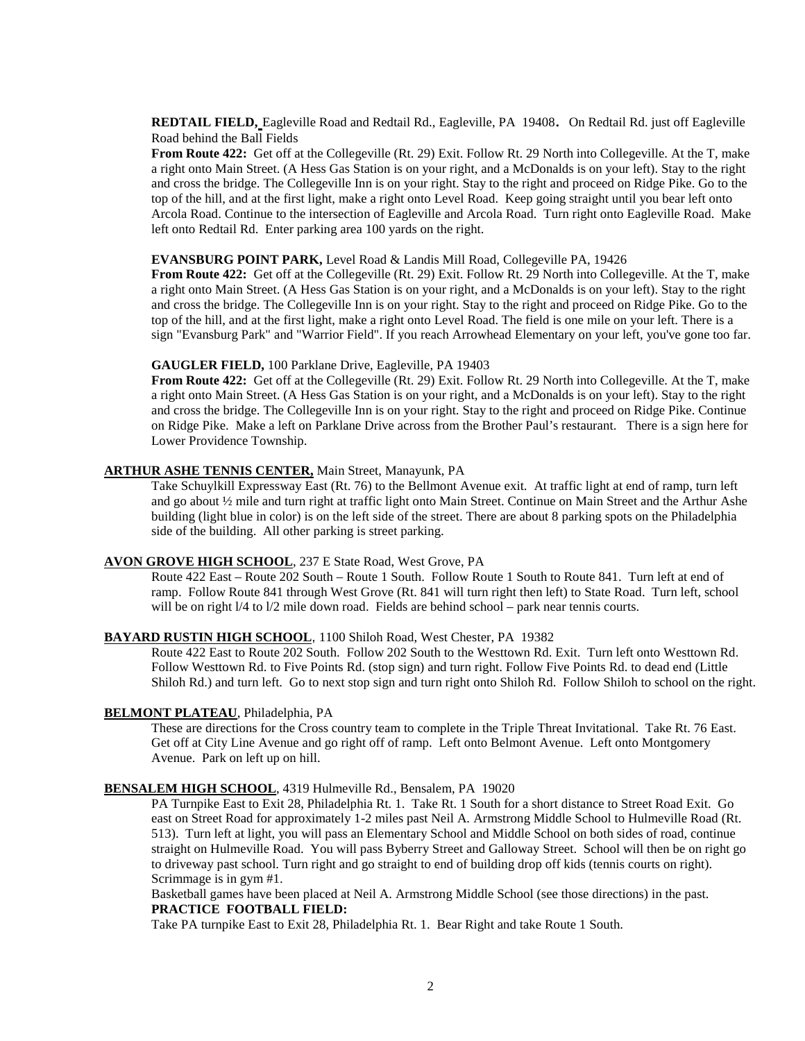**REDTAIL FIELD,** Eagleville Road and Redtail Rd., Eagleville, PA 19408. On Redtail Rd. just off Eagleville Road behind the Ball Fields

**From Route 422:** Get off at the Collegeville (Rt. 29) Exit. Follow Rt. 29 North into Collegeville. At the T, make a right onto Main Street. (A Hess Gas Station is on your right, and a McDonalds is on your left). Stay to the right and cross the bridge. The Collegeville Inn is on your right. Stay to the right and proceed on Ridge Pike. Go to the top of the hill, and at the first light, make a right onto Level Road. Keep going straight until you bear left onto Arcola Road. Continue to the intersection of Eagleville and Arcola Road. Turn right onto Eagleville Road. Make left onto Redtail Rd. Enter parking area 100 yards on the right.

#### **EVANSBURG POINT PARK,** Level Road & Landis Mill Road, Collegeville PA, 19426

**From Route 422:** Get off at the Collegeville (Rt. 29) Exit. Follow Rt. 29 North into Collegeville. At the T, make a right onto Main Street. (A Hess Gas Station is on your right, and a McDonalds is on your left). Stay to the right and cross the bridge. The Collegeville Inn is on your right. Stay to the right and proceed on Ridge Pike. Go to the top of the hill, and at the first light, make a right onto Level Road. The field is one mile on your left. There is a sign "Evansburg Park" and "Warrior Field". If you reach Arrowhead Elementary on your left, you've gone too far.

#### **GAUGLER FIELD,** 100 Parklane Drive, Eagleville, PA 19403

**From Route 422:** Get off at the Collegeville (Rt. 29) Exit. Follow Rt. 29 North into Collegeville. At the T, make a right onto Main Street. (A Hess Gas Station is on your right, and a McDonalds is on your left). Stay to the right and cross the bridge. The Collegeville Inn is on your right. Stay to the right and proceed on Ridge Pike. Continue on Ridge Pike. Make a left on Parklane Drive across from the Brother Paul's restaurant. There is a sign here for Lower Providence Township.

#### **ARTHUR ASHE TENNIS CENTER,** Main Street, Manayunk, PA

Take Schuylkill Expressway East (Rt. 76) to the Bellmont Avenue exit. At traffic light at end of ramp, turn left and go about ½ mile and turn right at traffic light onto Main Street. Continue on Main Street and the Arthur Ashe building (light blue in color) is on the left side of the street. There are about 8 parking spots on the Philadelphia side of the building. All other parking is street parking.

#### **AVON GROVE HIGH SCHOOL** , 237 E State Road, West Grove, PA

Route 422 East – Route 202 South – Route 1 South. Follow Route 1 South to Route 841. Turn left at end of ramp. Follow Route 841 through West Grove (Rt. 841 will turn right then left) to State Road. Turn left, school will be on right  $1/4$  to  $1/2$  mile down road. Fields are behind school – park near tennis courts.

#### **BAYARD RUSTIN HIGH SCHOOL** , 1100 Shiloh Road, West Chester, PA 19382

Route 422 East to Route 202 South. Follow 202 South to the Westtown Rd. Exit. Turn left onto Westtown Rd. Follow Westtown Rd. to Five Points Rd. (stop sign) and turn right. Follow Five Points Rd. to dead end (Little Shiloh Rd.) and turn left. Go to next stop sign and turn right onto Shiloh Rd. Follow Shiloh to school on the right.

#### **BELMONT PLATEAU** , Philadelphia, PA

These are directions for the Cross country team to complete in the Triple Threat Invitational. Take Rt. 76 East. Get off at City Line Avenue and go right off of ramp. Left onto Belmont Avenue. Left onto Montgomery Avenue. Park on left up on hill.

#### **BENSALEM HIGH SCHOOL** , 4319 Hulmeville Rd., Bensalem, PA 19020

PA Turnpike East to Exit 28, Philadelphia Rt. 1. Take Rt. 1 South for a short distance to Street Road Exit. Go east on Street Road for approximately 1-2 miles past Neil A. Armstrong Middle School to Hulmeville Road (Rt. 513). Turn left at light, you will pass an Elementary School and Middle School on both sides of road, continue straight on Hulmeville Road. You will pass Byberry Street and Galloway Street. School will then be on right go to driveway past school. Turn right and go straight to end of building drop off kids (tennis courts on right). Scrimmage is in gym #1.

Basketball games have been placed at Neil A. Armstrong Middle School (see those directions) in the past. **PRACTICE FOOTBALL FIELD:** 

Take PA turnpike East to Exit 28, Philadelphia Rt. 1. Bear Right and take Route 1 South.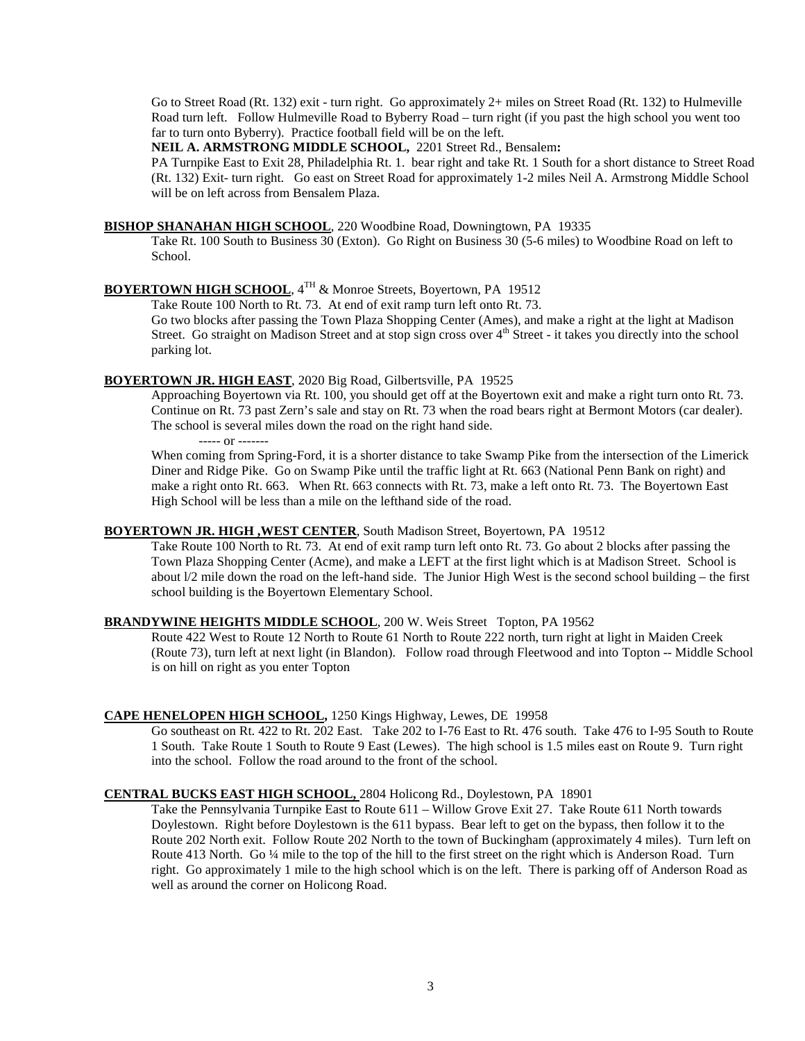Go to Street Road (Rt. 132) exit - turn right. Go approximately 2+ miles on Street Road (Rt. 132) to Hulmeville Road turn left. Follow Hulmeville Road to Byberry Road – turn right (if you past the high school you went too far to turn onto Byberry). Practice football field will be on the left.

**NEIL A. ARMSTRONG MIDDLE SCHOOL,** 2201 Street Rd., Bensalem**:**

PA Turnpike East to Exit 28, Philadelphia Rt. 1. bear right and take Rt. 1 South for a short distance to Street Road (Rt. 132) Exit- turn right. Go east on Street Road for approximately 1-2 miles Neil A. Armstrong Middle School will be on left across from Bensalem Plaza.

#### **BISHOP SHANAHAN HIGH SCHOOL** , 220 Woodbine Road, Downingtown, PA 19335

Take Rt. 100 South to Business 30 (Exton). Go Right on Business 30 (5-6 miles) to Woodbine Road on left to School.

# **BOYERTOWN HIGH SCHOOL**, 4TH & Monroe Streets, Boyertown, PA 19512

Take Route 100 North to Rt. 73. At end of exit ramp turn left onto Rt. 73.

Go two blocks after passing the Town Plaza Shopping Center (Ames), and make a right at the light at Madison Street. Go straight on Madison Street and at stop sign cross over 4<sup>th</sup> Street - it takes you directly into the school parking lot.

#### **BOYERTOWN JR. HIGH EAST** , 2020 Big Road, Gilbertsville, PA 19525

Approaching Boyertown via Rt. 100, you should get off at the Boyertown exit and make a right turn onto Rt. 73. Continue on Rt. 73 past Zern's sale and stay on Rt. 73 when the road bears right at Bermont Motors (car dealer). The school is several miles down the road on the right hand side.

----- or -------

When coming from Spring-Ford, it is a shorter distance to take Swamp Pike from the intersection of the Limerick Diner and Ridge Pike. Go on Swamp Pike until the traffic light at Rt. 663 (National Penn Bank on right) and make a right onto Rt. 663. When Rt. 663 connects with Rt. 73, make a left onto Rt. 73. The Boyertown East High School will be less than a mile on the lefthand side of the road.

# **BOYERTOWN JR. HIGH ,WEST CENTER** , South Madison Street, Boyertown, PA 19512

Take Route 100 North to Rt. 73. At end of exit ramp turn left onto Rt. 73. Go about 2 blocks after passing the Town Plaza Shopping Center (Acme), and make a LEFT at the first light which is at Madison Street. School is about l/2 mile down the road on the left-hand side. The Junior High West is the second school building – the first school building is the Boyertown Elementary School.

#### **BRANDYWINE HEIGHTS MIDDLE SCHOOL** , 200 W. Weis Street Topton, PA 19562

Route 422 West to Route 12 North to Route 61 North to Route 222 north, turn right at light in Maiden Creek (Route 73), turn left at next light (in Blandon). Follow road through Fleetwood and into Topton -- Middle School is on hill on right as you enter Topton

#### **CAPE HENELOPEN HIGH SCHOOL ,** 1250 Kings Highway, Lewes, DE 19958

Go southeast on Rt. 422 to Rt. 202 East. Take 202 to I-76 East to Rt. 476 south. Take 476 to I-95 South to Route 1 South. Take Route 1 South to Route 9 East (Lewes). The high school is 1.5 miles east on Route 9. Turn right into the school. Follow the road around to the front of the school.

#### **CENTRAL BUCKS EAST HIGH SCHOOL,**  2804 Holicong Rd., Doylestown, PA 18901

Take the Pennsylvania Turnpike East to Route 611 – Willow Grove Exit 27. Take Route 611 North towards Doylestown. Right before Doylestown is the 611 bypass. Bear left to get on the bypass, then follow it to the Route 202 North exit. Follow Route 202 North to the town of Buckingham (approximately 4 miles). Turn left on Route 413 North. Go ¼ mile to the top of the hill to the first street on the right which is Anderson Road. Turn right. Go approximately 1 mile to the high school which is on the left. There is parking off of Anderson Road as well as around the corner on Holicong Road.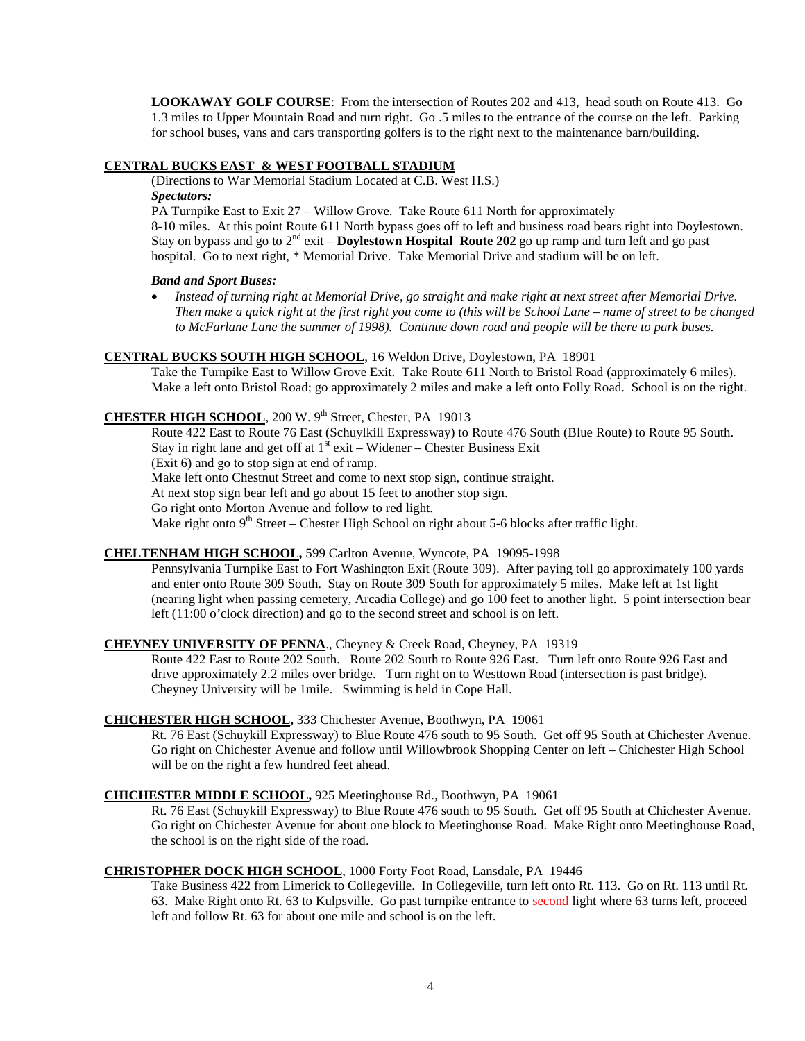**LOOKAWAY GOLF COURSE**: From the intersection of Routes 202 and 413, head south on Route 413. Go 1.3 miles to Upper Mountain Road and turn right. Go .5 miles to the entrance of the course on the left. Parking for school buses, vans and cars transporting golfers is to the right next to the maintenance barn/building.

# **CENTRAL BUCKS EAST & WEST FOOTBALL STADIUM**

(Directions to War Memorial Stadium Located at C.B. West H.S.)

#### *Spectators:*

PA Turnpike East to Exit 27 – Willow Grove. Take Route 611 North for approximately

8-10 miles. At this point Route 611 North bypass goes off to left and business road bears right into Doylestown. Stay on bypass and go to 2nd exit – **Doylestown Hospital Route 202** go up ramp and turn left and go past hospital. Go to next right, \* Memorial Drive. Take Memorial Drive and stadium will be on left.

#### *Band and Sport Buses:*

• *Instead of turning right at Memorial Drive, go straight and make right at next street after Memorial Drive. Then make a quick right at the first right you come to (this will be School Lane – name of street to be changed to McFarlane Lane the summer of 1998). Continue down road and people will be there to park buses.*

# **CENTRAL BUCKS SOUTH HIGH SCHOOL** , 16 Weldon Drive, Doylestown, PA 18901

Take the Turnpike East to Willow Grove Exit. Take Route 611 North to Bristol Road (approximately 6 miles). Make a left onto Bristol Road; go approximately 2 miles and make a left onto Folly Road. School is on the right.

# CHESTER HIGH SCHOOL, 200 W. 9<sup>th</sup> Street, Chester, PA 19013

Route 422 East to Route 76 East (Schuylkill Expressway) to Route 476 South (Blue Route) to Route 95 South. Stay in right lane and get off at 1<sup>st</sup> exit - Widener - Chester Business Exit

(Exit 6) and go to stop sign at end of ramp.

Make left onto Chestnut Street and come to next stop sign, continue straight.

At next stop sign bear left and go about 15 feet to another stop sign.

Go right onto Morton Avenue and follow to red light.

Make right onto  $9<sup>th</sup>$  Street – Chester High School on right about 5-6 blocks after traffic light.

# **CHELTENHAM HIGH SCHOOL ,** 599 Carlton Avenue, Wyncote, PA 19095-1998

Pennsylvania Turnpike East to Fort Washington Exit (Route 309). After paying toll go approximately 100 yards and enter onto Route 309 South. Stay on Route 309 South for approximately 5 miles. Make left at 1st light (nearing light when passing cemetery, Arcadia College) and go 100 feet to another light. 5 point intersection bear left (11:00 o'clock direction) and go to the second street and school is on left.

#### **CHEYNEY UNIVERSITY OF PENNA**., Cheyney & Creek Road, Cheyney, PA 19319

Route 422 East to Route 202 South. Route 202 South to Route 926 East. Turn left onto Route 926 East and drive approximately 2.2 miles over bridge. Turn right on to Westtown Road (intersection is past bridge). Cheyney University will be 1mile. Swimming is held in Cope Hall.

#### **CHICHESTER HIGH SCHOOL ,** 333 Chichester Avenue, Boothwyn, PA 19061

Rt. 76 East (Schuykill Expressway) to Blue Route 476 south to 95 South. Get off 95 South at Chichester Avenue. Go right on Chichester Avenue and follow until Willowbrook Shopping Center on left – Chichester High School will be on the right a few hundred feet ahead.

#### **CHICHESTER MIDDLE SCHOOL ,** 925 Meetinghouse Rd., Boothwyn, PA 19061

Rt. 76 East (Schuykill Expressway) to Blue Route 476 south to 95 South. Get off 95 South at Chichester Avenue. Go right on Chichester Avenue for about one block to Meetinghouse Road. Make Right onto Meetinghouse Road, the school is on the right side of the road.

#### **CHRISTOPHER DOCK HIGH SCHOOL** , 1000 Forty Foot Road, Lansdale, PA 19446

Take Business 422 from Limerick to Collegeville. In Collegeville, turn left onto Rt. 113. Go on Rt. 113 until Rt. 63. Make Right onto Rt. 63 to Kulpsville. Go past turnpike entrance to second light where 63 turns left, proceed left and follow Rt. 63 for about one mile and school is on the left.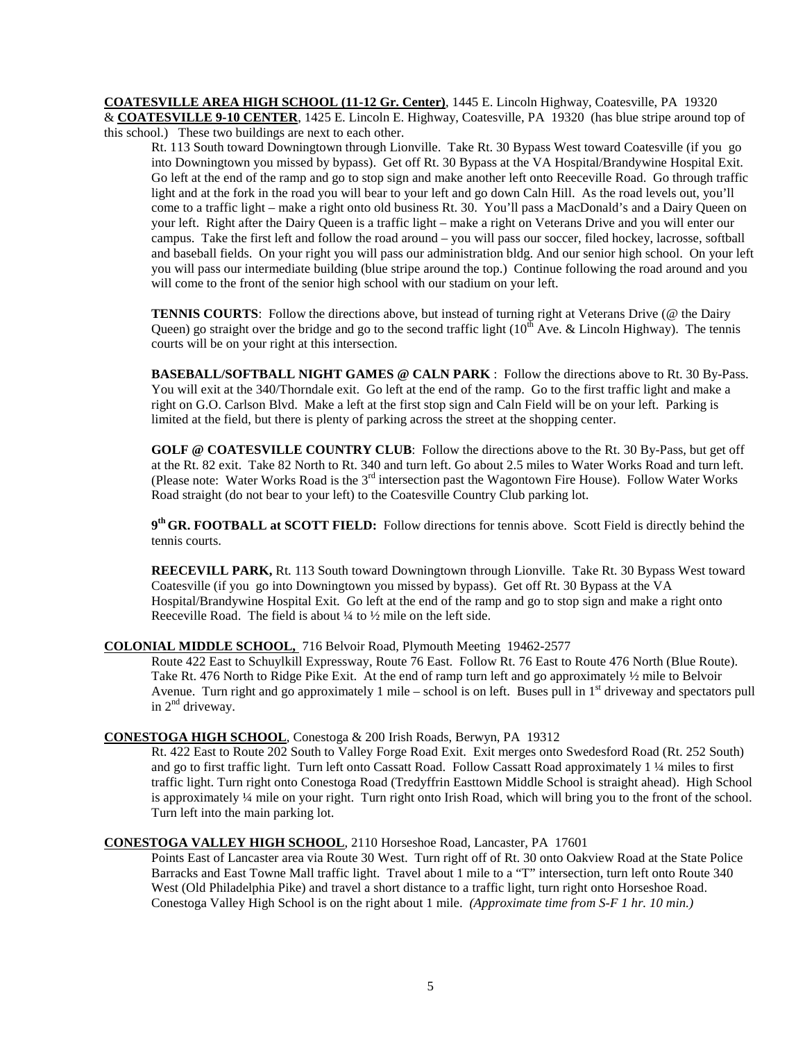**COATESVILLE AREA HIGH SCHOOL (11-12 Gr. Center)** , 1445 E. Lincoln Highway, Coatesville, PA 19320 & **COATESVILLE 9-10 CENTER** , 1425 E. Lincoln E. Highway, Coatesville, PA 19320 (has blue stripe around top of this school.) These two buildings are next to each other.

Rt. 113 South toward Downingtown through Lionville. Take Rt. 30 Bypass West toward Coatesville (if you go into Downingtown you missed by bypass). Get off Rt. 30 Bypass at the VA Hospital/Brandywine Hospital Exit. Go left at the end of the ramp and go to stop sign and make another left onto Reeceville Road. Go through traffic light and at the fork in the road you will bear to your left and go down Caln Hill. As the road levels out, you'll come to a traffic light – make a right onto old business Rt. 30. You'll pass a MacDonald's and a Dairy Queen on your left. Right after the Dairy Queen is a traffic light – make a right on Veterans Drive and you will enter our campus. Take the first left and follow the road around – you will pass our soccer, filed hockey, lacrosse, softball and baseball fields. On your right you will pass our administration bldg. And our senior high school. On your left you will pass our intermediate building (blue stripe around the top.) Continue following the road around and you will come to the front of the senior high school with our stadium on your left.

**TENNIS COURTS**: Follow the directions above, but instead of turning right at Veterans Drive (@ the Dairy Queen) go straight over the bridge and go to the second traffic light  $(10<sup>th</sup>$  Ave. & Lincoln Highway). The tennis courts will be on your right at this intersection.

**BASEBALL/SOFTBALL NIGHT GAMES @ CALN PARK** : Follow the directions above to Rt. 30 By-Pass. You will exit at the 340/Thorndale exit. Go left at the end of the ramp. Go to the first traffic light and make a right on G.O. Carlson Blvd. Make a left at the first stop sign and Caln Field will be on your left. Parking is limited at the field, but there is plenty of parking across the street at the shopping center.

**GOLF @ COATESVILLE COUNTRY CLUB**: Follow the directions above to the Rt. 30 By-Pass, but get off at the Rt. 82 exit. Take 82 North to Rt. 340 and turn left. Go about 2.5 miles to Water Works Road and turn left. (Please note: Water Works Road is the 3rd intersection past the Wagontown Fire House). Follow Water Works Road straight (do not bear to your left) to the Coatesville Country Club parking lot.

**9th GR. FOOTBALL at SCOTT FIELD:** Follow directions for tennis above. Scott Field is directly behind the tennis courts.

**REECEVILL PARK,** Rt. 113 South toward Downingtown through Lionville. Take Rt. 30 Bypass West toward Coatesville (if you go into Downingtown you missed by bypass). Get off Rt. 30 Bypass at the VA Hospital/Brandywine Hospital Exit. Go left at the end of the ramp and go to stop sign and make a right onto Reeceville Road. The field is about ¼ to ½ mile on the left side.

# **COLONIAL MIDDLE SCHOOL,**  716 Belvoir Road, Plymouth Meeting 19462-2577

Route 422 East to Schuylkill Expressway, Route 76 East. Follow Rt. 76 East to Route 476 North (Blue Route). Take Rt. 476 North to Ridge Pike Exit. At the end of ramp turn left and go approximately ½ mile to Belvoir Avenue. Turn right and go approximately 1 mile – school is on left. Buses pull in 1<sup>st</sup> driveway and spectators pull in  $2<sup>nd</sup>$  driveway.

#### **CONESTOGA HIGH SCHOOL** , Conestoga & 200 Irish Roads, Berwyn, PA 19312

Rt. 422 East to Route 202 South to Valley Forge Road Exit. Exit merges onto Swedesford Road (Rt. 252 South) and go to first traffic light. Turn left onto Cassatt Road. Follow Cassatt Road approximately 1 ¼ miles to first traffic light. Turn right onto Conestoga Road (Tredyffrin Easttown Middle School is straight ahead). High School is approximately ¼ mile on your right. Turn right onto Irish Road, which will bring you to the front of the school. Turn left into the main parking lot.

# **CONESTOGA VALLEY HIGH SCHOOL** , 2110 Horseshoe Road, Lancaster, PA 17601

Points East of Lancaster area via Route 30 West. Turn right off of Rt. 30 onto Oakview Road at the State Police Barracks and East Towne Mall traffic light. Travel about 1 mile to a "T" intersection, turn left onto Route 340 West (Old Philadelphia Pike) and travel a short distance to a traffic light, turn right onto Horseshoe Road. Conestoga Valley High School is on the right about 1 mile.*(Approximate time from S-F 1 hr. 10 min.)*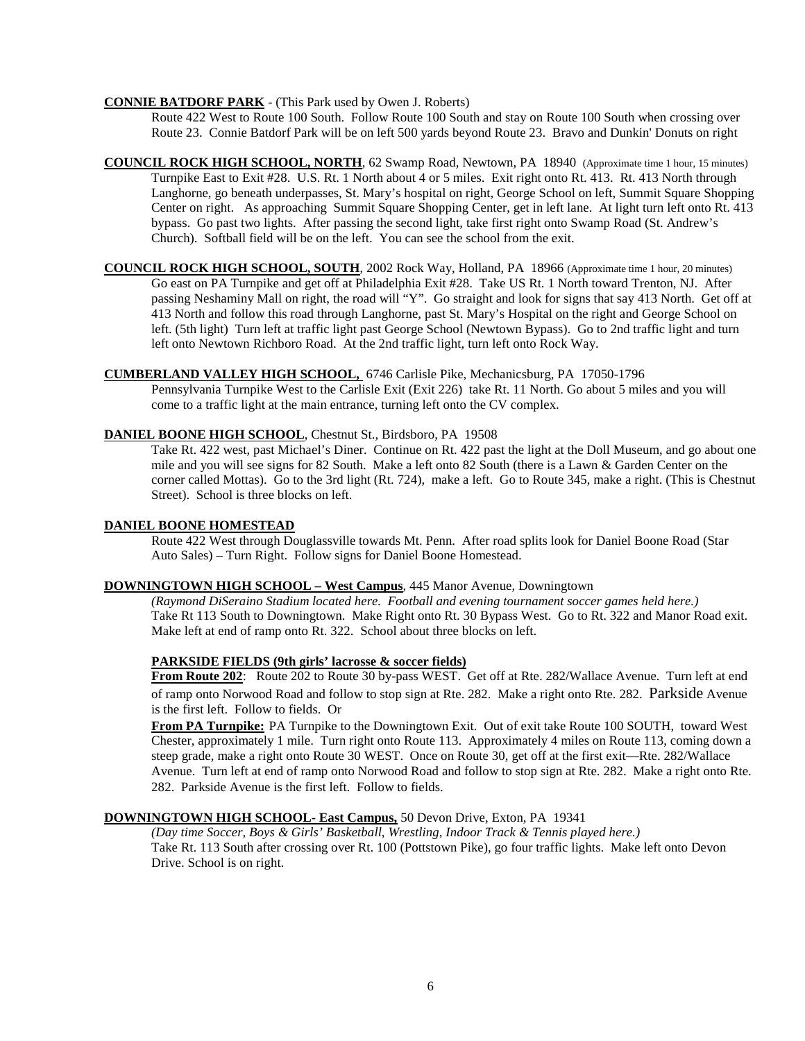#### **CONNIE BATDORF PARK** - (This Park used by Owen J. Roberts)

Route 422 West to Route 100 South. Follow Route 100 South and stay on Route 100 South when crossing over Route 23. Connie Batdorf Park will be on left 500 yards beyond Route 23. Bravo and Dunkin' Donuts on right

- **COUNCIL ROCK HIGH SCHOOL, NORTH** , 62 Swamp Road, Newtown, PA 18940 (Approximate time 1 hour, 15 minutes) Turnpike East to Exit #28. U.S. Rt. 1 North about 4 or 5 miles. Exit right onto Rt. 413. Rt. 413 North through Langhorne, go beneath underpasses, St. Mary's hospital on right, George School on left, Summit Square Shopping Center on right. As approaching Summit Square Shopping Center, get in left lane. At light turn left onto Rt. 413 bypass. Go past two lights. After passing the second light, take first right onto Swamp Road (St. Andrew's Church). Softball field will be on the left. You can see the school from the exit.
- **COUNCIL ROCK HIGH SCHOOL, SOUTH** , 2002 Rock Way, Holland, PA 18966 (Approximate time 1 hour, 20 minutes) Go east on PA Turnpike and get off at Philadelphia Exit #28. Take US Rt. 1 North toward Trenton, NJ. After passing Neshaminy Mall on right, the road will "Y". Go straight and look for signs that say 413 North. Get off at 413 North and follow this road through Langhorne, past St. Mary's Hospital on the right and George School on left. (5th light) Turn left at traffic light past George School (Newtown Bypass). Go to 2nd traffic light and turn left onto Newtown Richboro Road. At the 2nd traffic light, turn left onto Rock Way.

# **CUMBERLAND VALLEY HIGH SCHOOL,**  6746 Carlisle Pike, Mechanicsburg, PA 17050-1796

Pennsylvania Turnpike West to the Carlisle Exit (Exit 226) take Rt. 11 North. Go about 5 miles and you will come to a traffic light at the main entrance, turning left onto the CV complex.

#### **DANIEL BOONE HIGH SCHOOL** , Chestnut St., Birdsboro, PA 19508

Take Rt. 422 west, past Michael's Diner. Continue on Rt. 422 past the light at the Doll Museum, and go about one mile and you will see signs for 82 South. Make a left onto 82 South (there is a Lawn & Garden Center on the corner called Mottas). Go to the 3rd light (Rt. 724), make a left. Go to Route 345, make a right. (This is Chestnut Street). School is three blocks on left.

#### **DANIEL BOONE HOMESTEAD**

Route 422 West through Douglassville towards Mt. Penn. After road splits look for Daniel Boone Road (Star Auto Sales) – Turn Right. Follow signs for Daniel Boone Homestead.

#### **DOWNINGTOWN HIGH SCHOOL – West Campus** , 445 Manor Avenue, Downingtown

*(Raymond DiSeraino Stadium located here. Football and evening tournament soccer games held here.)* Take Rt 113 South to Downingtown. Make Right onto Rt. 30 Bypass West. Go to Rt. 322 and Manor Road exit. Make left at end of ramp onto Rt. 322. School about three blocks on left.

#### **PARKSIDE FIELDS (9th girls' lacrosse & soccer fields)**

**From Route 202**: Route 202 to Route 30 by-pass WEST. Get off at Rte. 282/Wallace Avenue. Turn left at end of ramp onto Norwood Road and follow to stop sign at Rte. 282. Make a right onto Rte. 282. Parkside Avenue is the first left. Follow to fields. Or

**From PA Turnpike:** PA Turnpike to the Downingtown Exit. Out of exit take Route 100 SOUTH, toward West Chester, approximately 1 mile. Turn right onto Route 113. Approximately 4 miles on Route 113, coming down a steep grade, make a right onto Route 30 WEST. Once on Route 30, get off at the first exit—Rte. 282/Wallace Avenue. Turn left at end of ramp onto Norwood Road and follow to stop sign at Rte. 282. Make a right onto Rte. 282. Parkside Avenue is the first left. Follow to fields.

#### **DOWNINGTOWN HIGH SCHOOL- East Campus,** 50 Devon Drive, Exton, PA 19341

*(Day time Soccer, Boys & Girls' Basketball, Wrestling, Indoor Track & Tennis played here.)* Take Rt. 113 South after crossing over Rt. 100 (Pottstown Pike), go four traffic lights. Make left onto Devon Drive. School is on right.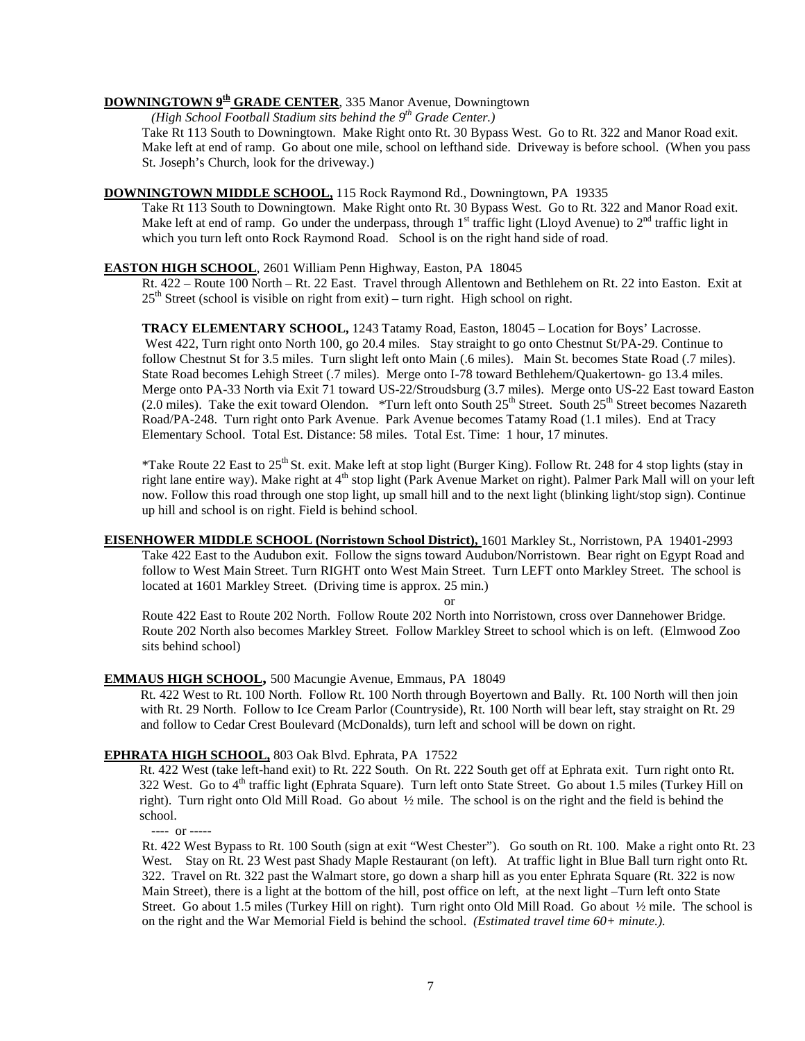# **DOWNINGTOWN 9<sup>th</sup> GRADE CENTER**, 335 Manor Avenue, Downingtown *(High School Eastball Stadium site behind the 0<sup>th</sup> Crade Center)*

*(High School Football Stadium sits behind the 9 Grade Center.)*

Take Rt 113 South to Downingtown. Make Right onto Rt. 30 Bypass West. Go to Rt. 322 and Manor Road exit. Make left at end of ramp. Go about one mile, school on lefthand side. Driveway is before school. (When you pass St. Joseph's Church, look for the driveway.)

#### **DOWNINGTOWN MIDDLE SCHOOL,** 115 Rock Raymond Rd., Downingtown, PA 19335

Take Rt 113 South to Downingtown. Make Right onto Rt. 30 Bypass West. Go to Rt. 322 and Manor Road exit. Make left at end of ramp. Go under the underpass, through  $1<sup>st</sup>$  traffic light (Lloyd Avenue) to  $2<sup>nd</sup>$  traffic light in which you turn left onto Rock Raymond Road. School is on the right hand side of road.

#### **EASTON HIGH SCHOOL** , 2601 William Penn Highway, Easton, PA 18045

Rt. 422 – Route 100 North – Rt. 22 East. Travel through Allentown and Bethlehem on Rt. 22 into Easton. Exit at 25<sup>th</sup> Street (school is visible on right from exit) – turn right. High school on right.

**TRACY ELEMENTARY SCHOOL,** 1243 Tatamy Road, Easton, 18045 – Location for Boys' Lacrosse. West 422, Turn right onto North 100, go 20.4 miles. Stay straight to go onto Chestnut St/PA-29. Continue to follow Chestnut St for 3.5 miles. Turn slight left onto Main (.6 miles). Main St. becomes State Road (.7 miles). State Road becomes Lehigh Street (.7 miles). Merge onto I-78 toward Bethlehem/Quakertown- go 13.4 miles. Merge onto PA-33 North via Exit 71 toward US-22/Stroudsburg (3.7 miles). Merge onto US-22 East toward Easton (2.0 miles). Take the exit toward Olendon. \*Turn left onto South  $25<sup>th</sup>$  Street. South  $25<sup>th</sup>$  Street becomes Nazareth Road/PA-248. Turn right onto Park Avenue. Park Avenue becomes Tatamy Road (1.1 miles). End at Tracy Elementary School. Total Est. Distance: 58 miles. Total Est. Time: 1 hour, 17 minutes.

\*Take Route 22 East to 25<sup>th</sup> St. exit. Make left at stop light (Burger King). Follow Rt. 248 for 4 stop lights (stay in right lane entire way). Make right at  $4<sup>th</sup>$  stop light (Park Avenue Market on right). Palmer Park Mall will on your left now. Follow this road through one stop light, up small hill and to the next light (blinking light/stop sign). Continue up hill and school is on right. Field is behind school.

# **EISENHOWER MIDDLE SCHOOL (Norristown School District),**  1601 Markley St., Norristown, PA 19401-2993 Take 422 East to the Audubon exit. Follow the signs toward Audubon/Norristown. Bear right on Egypt Road and follow to West Main Street. Turn RIGHT onto West Main Street. Turn LEFT onto Markley Street. The school is located at 1601 Markley Street. (Driving time is approx. 25 min.)

or

Route 422 East to Route 202 North. Follow Route 202 North into Norristown, cross over Dannehower Bridge. Route 202 North also becomes Markley Street. Follow Markley Street to school which is on left. (Elmwood Zoo sits behind school)

# **EMMAUS HIGH SCHOOL ,** 500 Macungie Avenue, Emmaus, PA 18049

Rt. 422 West to Rt. 100 North. Follow Rt. 100 North through Boyertown and Bally. Rt. 100 North will then join with Rt. 29 North. Follow to Ice Cream Parlor (Countryside), Rt. 100 North will bear left, stay straight on Rt. 29 and follow to Cedar Crest Boulevard (McDonalds), turn left and school will be down on right.

# **EPHRATA HIGH SCHOOL,** 803 Oak Blvd. Ephrata, PA 17522

Rt. 422 West (take left-hand exit) to Rt. 222 South. On Rt. 222 South get off at Ephrata exit. Turn right onto Rt. 322 West. Go to 4<sup>th</sup> traffic light (Ephrata Square). Turn left onto State Street. Go about 1.5 miles (Turkey Hill on right). Turn right onto Old Mill Road. Go about ½ mile. The school is on the right and the field is behind the school.

---- or -----

Rt. 422 West Bypass to Rt. 100 South (sign at exit "West Chester"). Go south on Rt. 100. Make a right onto Rt. 23 West. Stay on Rt. 23 West past Shady Maple Restaurant (on left). At traffic light in Blue Ball turn right onto Rt. 322. Travel on Rt. 322 past the Walmart store, go down a sharp hill as you enter Ephrata Square (Rt. 322 is now Main Street), there is a light at the bottom of the hill, post office on left, at the next light –Turn left onto State Street. Go about 1.5 miles (Turkey Hill on right). Turn right onto Old Mill Road. Go about ½ mile. The school is on the right and the War Memorial Field is behind the school. *(Estimated travel time 60+ minute.).*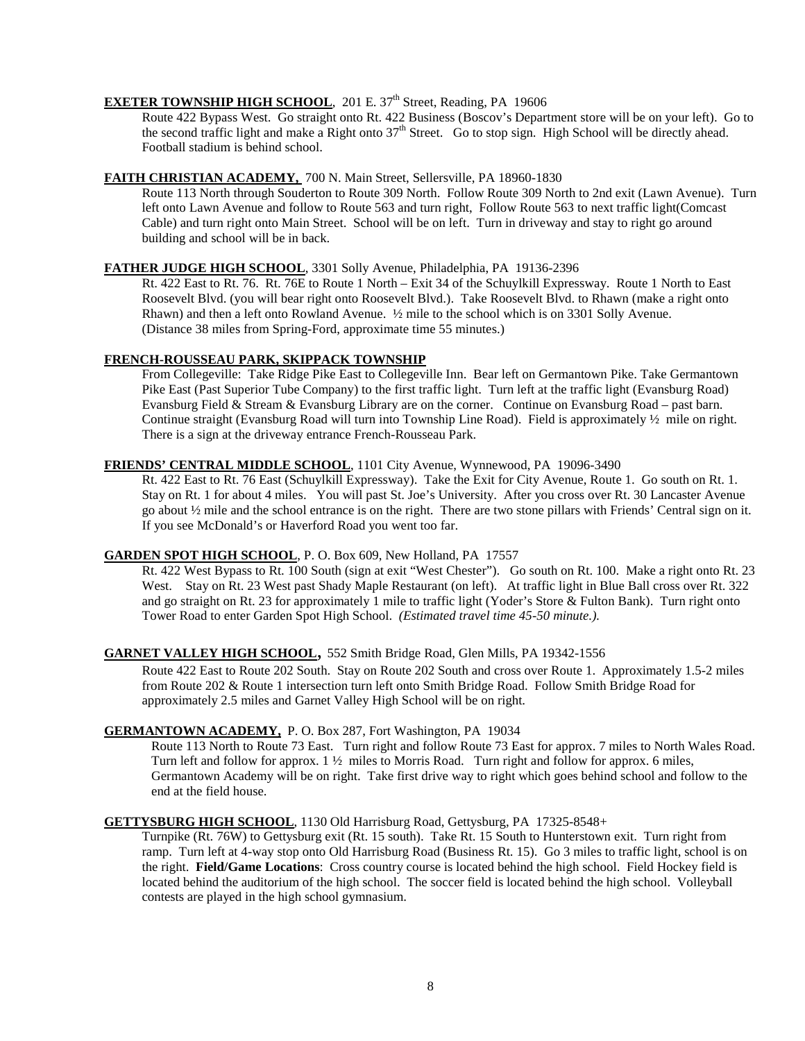# **EXETER TOWNSHIP HIGH SCHOOL**, 201 E. 37<sup>th</sup> Street, Reading, PA 19606

Route 422 Bypass West. Go straight onto Rt. 422 Business (Boscov's Department store will be on your left). Go to the second traffic light and make a Right onto  $37<sup>th</sup>$  Street. Go to stop sign. High School will be directly ahead. Football stadium is behind school.

# **FAITH CHRISTIAN ACADEMY,**  700 N. Main Street, Sellersville, PA 18960-1830

Route 113 North through Souderton to Route 309 North. Follow Route 309 North to 2nd exit (Lawn Avenue). Turn left onto Lawn Avenue and follow to Route 563 and turn right, Follow Route 563 to next traffic light(Comcast Cable) and turn right onto Main Street. School will be on left. Turn in driveway and stay to right go around building and school will be in back.

# **FATHER JUDGE HIGH SCHOOL** , 3301 Solly Avenue, Philadelphia, PA 19136-2396

Rt. 422 East to Rt. 76. Rt. 76E to Route 1 North – Exit 34 of the Schuylkill Expressway. Route 1 North to East Roosevelt Blvd. (you will bear right onto Roosevelt Blvd.). Take Roosevelt Blvd. to Rhawn (make a right onto Rhawn) and then a left onto Rowland Avenue. ½ mile to the school which is on 3301 Solly Avenue. (Distance 38 miles from Spring-Ford, approximate time 55 minutes.)

# **FRENCH-ROUSSEAU PARK, SKIPPACK TOWNSHIP**

From Collegeville: Take Ridge Pike East to Collegeville Inn. Bear left on Germantown Pike. Take Germantown Pike East (Past Superior Tube Company) to the first traffic light. Turn left at the traffic light (Evansburg Road) Evansburg Field & Stream & Evansburg Library are on the corner. Continue on Evansburg Road – past barn. Continue straight (Evansburg Road will turn into Township Line Road). Field is approximately ½ mile on right. There is a sign at the driveway entrance French-Rousseau Park.

# **FRIENDS' CENTRAL MIDDLE SCHOOL** , 1101 City Avenue, Wynnewood, PA 19096-3490

Rt. 422 East to Rt. 76 East (Schuylkill Expressway). Take the Exit for City Avenue, Route 1. Go south on Rt. 1. Stay on Rt. 1 for about 4 miles. You will past St. Joe's University. After you cross over Rt. 30 Lancaster Avenue go about ½ mile and the school entrance is on the right. There are two stone pillars with Friends' Central sign on it. If you see McDonald's or Haverford Road you went too far.

# **GARDEN SPOT HIGH SCHOOL** , P. O. Box 609, New Holland, PA 17557

Rt. 422 West Bypass to Rt. 100 South (sign at exit "West Chester"). Go south on Rt. 100. Make a right onto Rt. 23 West. Stay on Rt. 23 West past Shady Maple Restaurant (on left). At traffic light in Blue Ball cross over Rt. 322 and go straight on Rt. 23 for approximately 1 mile to traffic light (Yoder's Store & Fulton Bank). Turn right onto Tower Road to enter Garden Spot High School. *(Estimated travel time 45-50 minute.).* 

# **GARNET VALLEY HIGH SCHOOL** , 552 Smith Bridge Road, Glen Mills, PA 19342-1556

Route 422 East to Route 202 South. Stay on Route 202 South and cross over Route 1. Approximately 1.5-2 miles from Route 202 & Route 1 intersection turn left onto Smith Bridge Road. Follow Smith Bridge Road for approximately 2.5 miles and Garnet Valley High School will be on right.

#### **GERMANTOWN ACADEMY,** P. O. Box 287, Fort Washington, PA 19034

Route 113 North to Route 73 East. Turn right and follow Route 73 East for approx. 7 miles to North Wales Road. Turn left and follow for approx. 1 ½ miles to Morris Road. Turn right and follow for approx. 6 miles, Germantown Academy will be on right. Take first drive way to right which goes behind school and follow to the end at the field house.

### **GETTYSBURG HIGH SCHOOL** , 1130 Old Harrisburg Road, Gettysburg, PA 17325-8548+

Turnpike (Rt. 76W) to Gettysburg exit (Rt. 15 south). Take Rt. 15 South to Hunterstown exit. Turn right from ramp. Turn left at 4-way stop onto Old Harrisburg Road (Business Rt. 15). Go 3 miles to traffic light, school is on the right. **Field/Game Locations**: Cross country course is located behind the high school. Field Hockey field is located behind the auditorium of the high school. The soccer field is located behind the high school. Volleyball contests are played in the high school gymnasium.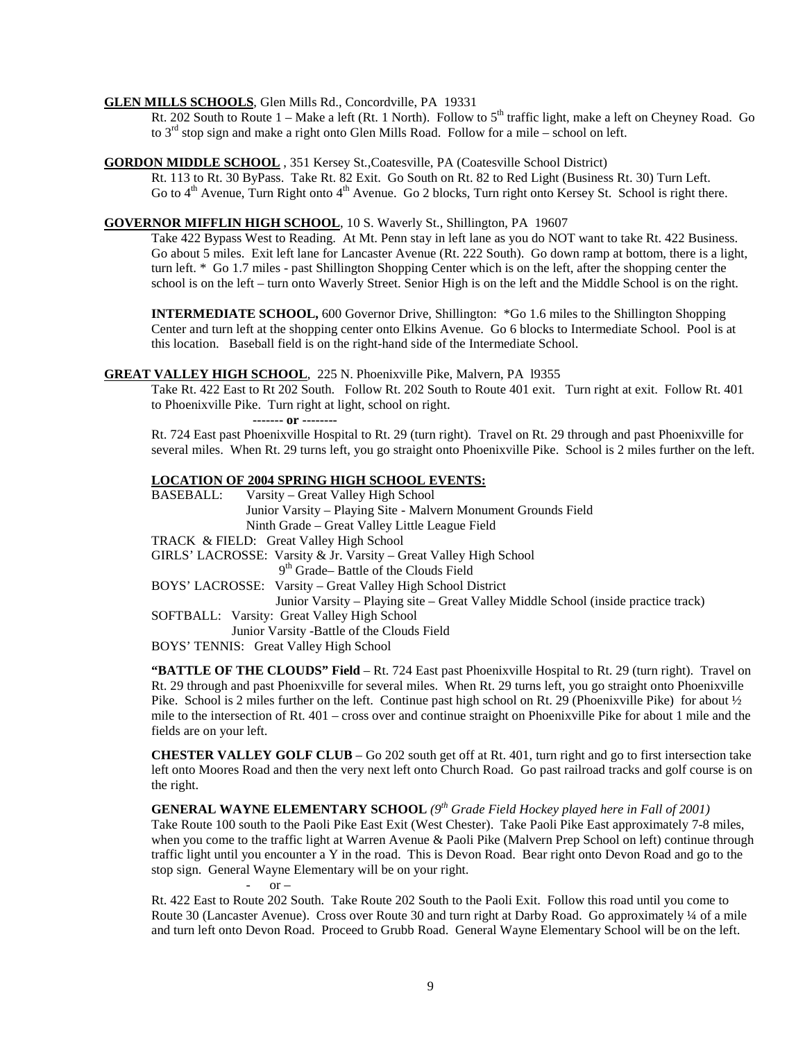#### **GLEN MILLS SCHOOLS**, Glen Mills Rd., Concordville, PA 19331

IILLS SCHOOLS, Glen Mills Rd., Concordville, PA 19331<br>Rt. 202 South to Route 1 – Make a left (Rt. 1 North). Follow to 5<sup>th</sup> traffic light, make a left on Cheyney Road. Go to  $3<sup>rd</sup>$  stop sign and make a right onto Glen Mills Road. Follow for a mile – school on left.

#### **GORDON MIDDLE SCHOOL** , 351 Kersey St.,Coatesville, PA (Coatesville School District)

Rt. 113 to Rt. 30 ByPass. Take Rt. 82 Exit. Go South on Rt. 82 to Red Light (Business Rt. 30) Turn Left. Go to 4<sup>th</sup> Avenue, Turn Right onto 4<sup>th</sup> Avenue. Go 2 blocks, Turn right onto Kersey St. School is right there.

#### **GOVERNOR MIFFLIN HIGH SCHOOL** , 10 S. Waverly St., Shillington, PA 19607

Take 422 Bypass West to Reading. At Mt. Penn stay in left lane as you do NOT want to take Rt. 422 Business. Go about 5 miles. Exit left lane for Lancaster Avenue (Rt. 222 South). Go down ramp at bottom, there is a light, turn left. \* Go 1.7 miles - past Shillington Shopping Center which is on the left, after the shopping center the school is on the left – turn onto Waverly Street. Senior High is on the left and the Middle School is on the right.

**INTERMEDIATE SCHOOL,** 600 Governor Drive, Shillington: \*Go 1.6 miles to the Shillington Shopping Center and turn left at the shopping center onto Elkins Avenue. Go 6 blocks to Intermediate School. Pool is at this location. Baseball field is on the right-hand side of the Intermediate School.

#### **GREAT VALLEY HIGH SCHOOL** , 225 N. Phoenixville Pike, Malvern, PA l9355

Take Rt. 422 East to Rt 202 South. Follow Rt. 202 South to Route 401 exit. Turn right at exit. Follow Rt. 401 to Phoenixville Pike. Turn right at light, school on right.

 **------- or --------**

Rt. 724 East past Phoenixville Hospital to Rt. 29 (turn right). Travel on Rt. 29 through and past Phoenixville for several miles. When Rt. 29 turns left, you go straight onto Phoenixville Pike. School is 2 miles further on the left.

#### **LOCATION OF 2004 SPRING HIGH SCHOOL EVENTS:**

BASEBALL: Varsity – Great Valley High School Junior Varsity – Playing Site - Malvern Monument Grounds Field Ninth Grade – Great Valley Little League Field

TRACK & FIELD: Great Valley High School

GIRLS' LACROSSE: Varsity & Jr. Varsity – Great Valley High School 9<sup>th</sup> Grade– Battle of the Clouds Field

BOYS' LACROSSE: Varsity – Great Valley High School District

Junior Varsity – Playing site – Great Valley Middle School (inside practice track)

- SOFTBALL: Varsity: Great Valley High School
- Junior Varsity -Battle of the Clouds Field

BOYS' TENNIS: Great Valley High School

**"BATTLE OF THE CLOUDS" Field** – Rt. 724 East past Phoenixville Hospital to Rt. 29 (turn right). Travel on Rt. 29 through and past Phoenixville for several miles. When Rt. 29 turns left, you go straight onto Phoenixville Pike. School is 2 miles further on the left. Continue past high school on Rt. 29 (Phoenixville Pike) for about  $\frac{1}{2}$ mile to the intersection of Rt. 401 – cross over and continue straight on Phoenixville Pike for about 1 mile and the fields are on your left.

**CHESTER VALLEY GOLF CLUB** – Go 202 south get off at Rt. 401, turn right and go to first intersection take left onto Moores Road and then the very next left onto Church Road. Go past railroad tracks and golf course is on the right.

**GENERAL WAYNE ELEMENTARY SCHOOL** (9<sup>th</sup> Grade Field Hockey played here in Fall of 2001) Take Route 100 south to the Paoli Pike East Exit (West Chester). Take Paoli Pike East approximately 7-8 miles, when you come to the traffic light at Warren Avenue & Paoli Pike (Malvern Prep School on left) continue through traffic light until you encounter a Y in the road. This is Devon Road. Bear right onto Devon Road and go to the stop sign. General Wayne Elementary will be on your right.  $or -$ 

Rt. 422 East to Route 202 South. Take Route 202 South to the Paoli Exit. Follow this road until you come to Route 30 (Lancaster Avenue). Cross over Route 30 and turn right at Darby Road. Go approximately ¼ of a mile and turn left onto Devon Road. Proceed to Grubb Road. General Wayne Elementary School will be on the left.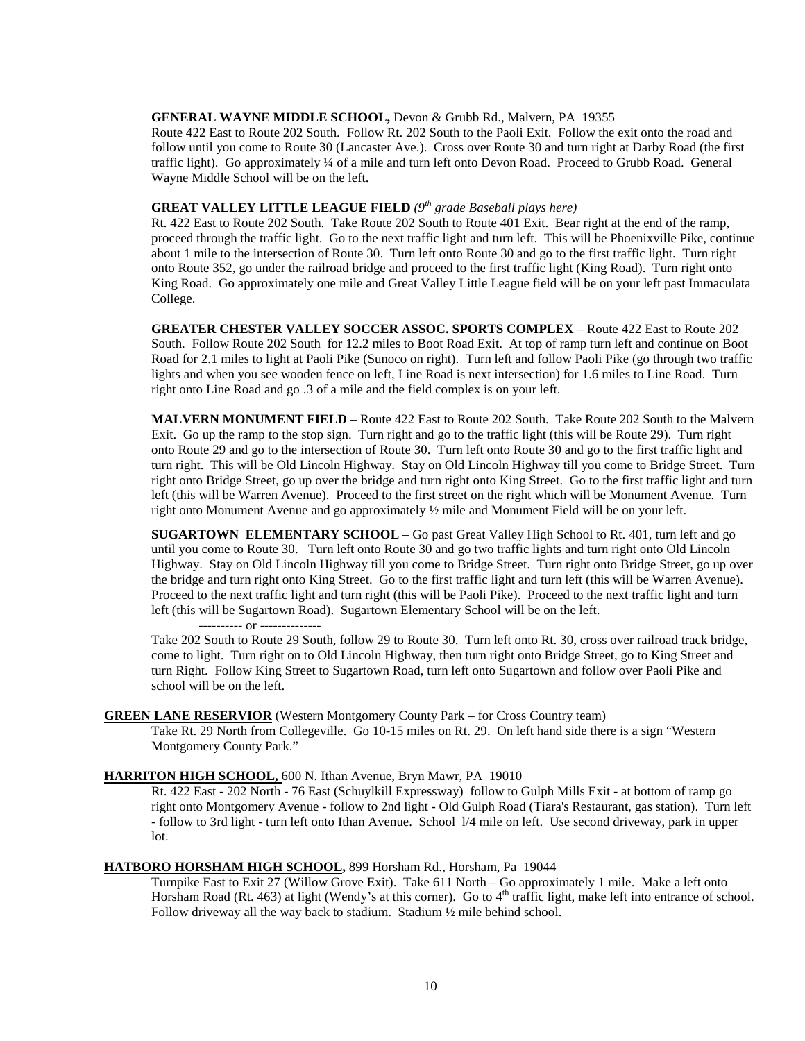#### **GENERAL WAYNE MIDDLE SCHOOL,** Devon & Grubb Rd., Malvern, PA 19355

Route 422 East to Route 202 South. Follow Rt. 202 South to the Paoli Exit. Follow the exit onto the road and follow until you come to Route 30 (Lancaster Ave.). Cross over Route 30 and turn right at Darby Road (the first traffic light). Go approximately ¼ of a mile and turn left onto Devon Road. Proceed to Grubb Road. General Wayne Middle School will be on the left.

# **GREAT VALLEY LITTLE LEAGUE FIELD** *(9th grade Baseball plays here)*

Rt. 422 East to Route 202 South. Take Route 202 South to Route 401 Exit. Bear right at the end of the ramp, proceed through the traffic light. Go to the next traffic light and turn left. This will be Phoenixville Pike, continue about 1 mile to the intersection of Route 30. Turn left onto Route 30 and go to the first traffic light. Turn right onto Route 352, go under the railroad bridge and proceed to the first traffic light (King Road). Turn right onto King Road. Go approximately one mile and Great Valley Little League field will be on your left past Immaculata College.

**GREATER CHESTER VALLEY SOCCER ASSOC. SPORTS COMPLEX** – Route 422 East to Route 202 South. Follow Route 202 South for 12.2 miles to Boot Road Exit. At top of ramp turn left and continue on Boot Road for 2.1 miles to light at Paoli Pike (Sunoco on right). Turn left and follow Paoli Pike (go through two traffic lights and when you see wooden fence on left, Line Road is next intersection) for 1.6 miles to Line Road. Turn right onto Line Road and go .3 of a mile and the field complex is on your left.

**MALVERN MONUMENT FIELD** – Route 422 East to Route 202 South. Take Route 202 South to the Malvern Exit. Go up the ramp to the stop sign. Turn right and go to the traffic light (this will be Route 29). Turn right onto Route 29 and go to the intersection of Route 30. Turn left onto Route 30 and go to the first traffic light and turn right. This will be Old Lincoln Highway. Stay on Old Lincoln Highway till you come to Bridge Street. Turn right onto Bridge Street, go up over the bridge and turn right onto King Street. Go to the first traffic light and turn left (this will be Warren Avenue). Proceed to the first street on the right which will be Monument Avenue. Turn right onto Monument Avenue and go approximately ½ mile and Monument Field will be on your left.

**SUGARTOWN ELEMENTARY SCHOOL** – Go past Great Valley High School to Rt. 401, turn left and go until you come to Route 30. Turn left onto Route 30 and go two traffic lights and turn right onto Old Lincoln Highway. Stay on Old Lincoln Highway till you come to Bridge Street. Turn right onto Bridge Street, go up over the bridge and turn right onto King Street. Go to the first traffic light and turn left (this will be Warren Avenue). Proceed to the next traffic light and turn right (this will be Paoli Pike). Proceed to the next traffic light and turn left (this will be Sugartown Road). Sugartown Elementary School will be on the left.

---------- or --------------

Take 202 South to Route 29 South, follow 29 to Route 30. Turn left onto Rt. 30, cross over railroad track bridge, come to light. Turn right on to Old Lincoln Highway, then turn right onto Bridge Street, go to King Street and turn Right. Follow King Street to Sugartown Road, turn left onto Sugartown and follow over Paoli Pike and school will be on the left.

#### **GREEN LANE RESERVIOR** (Western Montgomery County Park – for Cross Country team)

Take Rt. 29 North from Collegeville. Go 10-15 miles on Rt. 29. On left hand side there is a sign "Western Montgomery County Park."

#### **HARRITON HIGH SCHOOL,**  600 N. Ithan Avenue, Bryn Mawr, PA 19010

Rt. 422 East - 202 North - 76 East (Schuylkill Expressway) follow to Gulph Mills Exit - at bottom of ramp go right onto Montgomery Avenue - follow to 2nd light - Old Gulph Road (Tiara's Restaurant, gas station). Turn left - follow to 3rd light - turn left onto Ithan Avenue. School l/4 mile on left. Use second driveway, park in upper lot.

#### **HATBORO HORSHAM HIGH SCHOOL ,** 899 Horsham Rd., Horsham, Pa 19044

Turnpike East to Exit 27 (Willow Grove Exit). Take 611 North – Go approximately 1 mile. Make a left onto Horsham Road (Rt. 463) at light (Wendy's at this corner). Go to 4<sup>th</sup> traffic light, make left into entrance of school. Follow driveway all the way back to stadium. Stadium ½ mile behind school.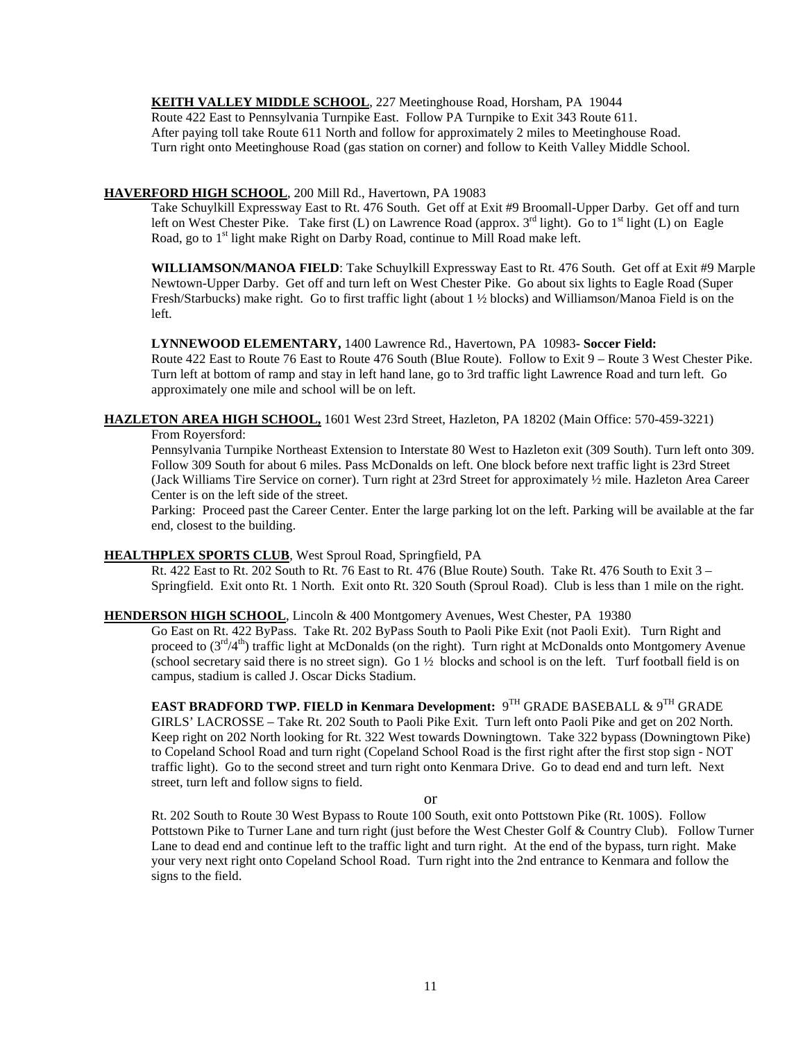**KEITH VALLEY MIDDLE SCHOOL** , 227 Meetinghouse Road, Horsham, PA 19044

Route 422 East to Pennsylvania Turnpike East. Follow PA Turnpike to Exit 343 Route 611. After paying toll take Route 611 North and follow for approximately 2 miles to Meetinghouse Road. Turn right onto Meetinghouse Road (gas station on corner) and follow to Keith Valley Middle School.

# **HAVERFORD HIGH SCHOOL** , 200 Mill Rd., Havertown, PA 19083

Take Schuylkill Expressway East to Rt. 476 South. Get off at Exit #9 Broomall-Upper Darby. Get off and turn left on West Chester Pike. Take first (L) on Lawrence Road (approx.  $3^{rd}$  light). Go to  $1^{st}$  light (L) on Eagle Road, go to 1<sup>st</sup> light make Right on Darby Road, continue to Mill Road make left.

WILLIAMSON/MANOA FIELD: Take Schuylkill Expressway East to Rt. 476 South. Get off at Exit #9 Marple Newtown-Upper Darby. Get off and turn left on West Chester Pike. Go about six lights to Eagle Road (Super Fresh/Starbucks) make right. Go to first traffic light (about 1 ½ blocks) and Williamson/Manoa Field is on the left.

**LYNNEWOOD ELEMENTARY,** 1400 Lawrence Rd., Havertown, PA 10983**- Soccer Field:**

Route 422 East to Route 76 East to Route 476 South (Blue Route). Follow to Exit 9 – Route 3 West Chester Pike. Turn left at bottom of ramp and stay in left hand lane, go to 3rd traffic light Lawrence Road and turn left. Go approximately one mile and school will be on left.

# **HAZLETON AREA HIGH SCHOOL,** 1601 West 23rd Street, Hazleton, PA 18202 (Main Office: 570-459-3221)

From Royersford:

Pennsylvania Turnpike Northeast Extension to Interstate 80 West to Hazleton exit (309 South). Turn left onto 309. Follow 309 South for about 6 miles. Pass McDonalds on left. One block before next traffic light is 23rd Street (Jack Williams Tire Service on corner). Turn right at 23rd Street for approximately ½ mile. Hazleton Area Career Center is on the left side of the street.

Parking: Proceed past the Career Center. Enter the large parking lot on the left. Parking will be available at the far end, closest to the building.

# **HEALTHPLEX SPORTS CLUB** , West Sproul Road, Springfield, PA

Rt. 422 East to Rt. 202 South to Rt. 76 East to Rt. 476 (Blue Route) South. Take Rt. 476 South to Exit 3 – Springfield. Exit onto Rt. 1 North. Exit onto Rt. 320 South (Sproul Road). Club is less than 1 mile on the right.

# **HENDERSON HIGH SCHOOL** , Lincoln & 400 Montgomery Avenues, West Chester, PA 19380

Go East on Rt. 422 ByPass. Take Rt. 202 ByPass South to Paoli Pike Exit (not Paoli Exit). Turn Right and proceed to  $(3<sup>rd</sup>/4<sup>th</sup>)$  traffic light at McDonalds (on the right). Turn right at McDonalds onto Montgomery Avenue (school secretary said there is no street sign). Go  $1\frac{1}{2}$  blocks and school is on the left. Turf football field is on campus, stadium is called J. Oscar Dicks Stadium.

# **EAST BRADFORD TWP. FIELD in Kenmara Development:** 9TH GRADE BASEBALL & 9TH GRADE GIRLS' LACROSSE – Take Rt. 202 South to Paoli Pike Exit. Turn left onto Paoli Pike and get on 202 North. Keep right on 202 North looking for Rt. 322 West towards Downingtown. Take 322 bypass (Downingtown Pike) to Copeland School Road and turn right (Copeland School Road is the first right after the first stop sign - NOT traffic light). Go to the second street and turn right onto Kenmara Drive. Go to dead end and turn left. Next street, turn left and follow signs to field.

or

Rt. 202 South to Route 30 West Bypass to Route 100 South, exit onto Pottstown Pike (Rt. 100S). Follow Pottstown Pike to Turner Lane and turn right (just before the West Chester Golf & Country Club). Follow Turner Lane to dead end and continue left to the traffic light and turn right. At the end of the bypass, turn right. Make your very next right onto Copeland School Road. Turn right into the 2nd entrance to Kenmara and follow the signs to the field.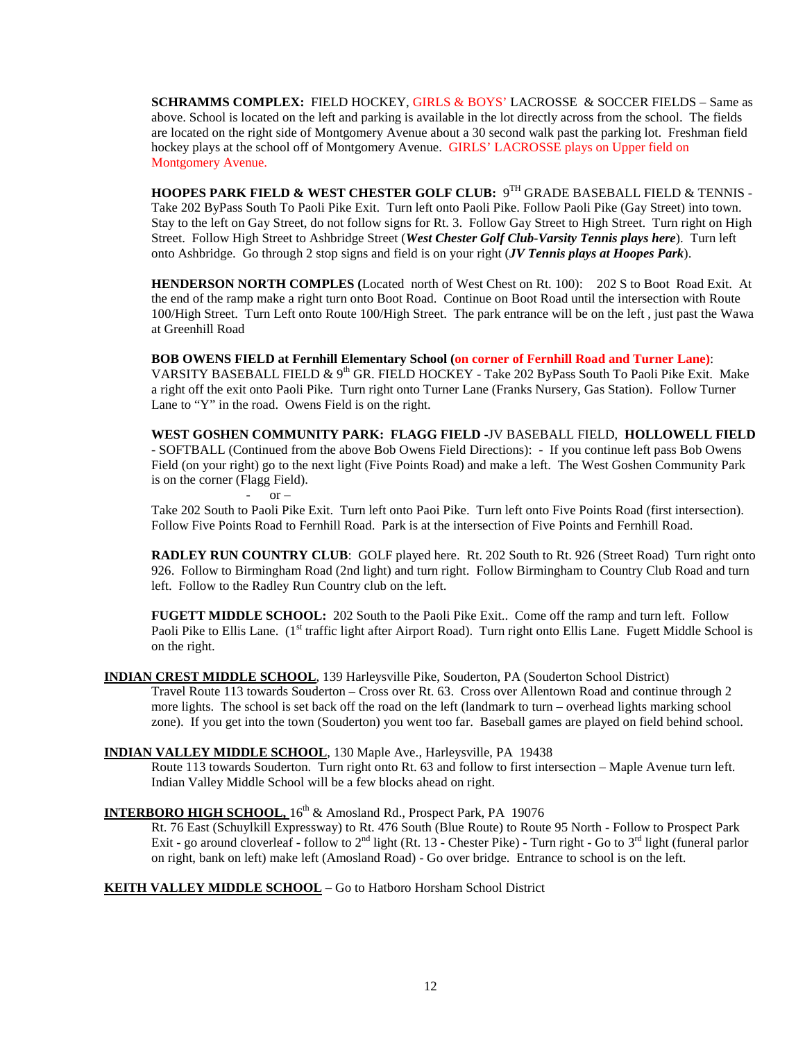**SCHRAMMS COMPLEX:** FIELD HOCKEY, GIRLS & BOYS' LACROSSE & SOCCER FIELDS – Same as above. School is located on the left and parking is available in the lot directly across from the school. The fields are located on the right side of Montgomery Avenue about a 30 second walk past the parking lot. Freshman field hockey plays at the school off of Montgomery Avenue. GIRLS' LACROSSE plays on Upper field on Montgomery Avenue.

**HOOPES PARK FIELD & WEST CHESTER GOLF CLUB:** 9TH GRADE BASEBALL FIELD & TENNIS - Take 202 ByPass South To Paoli Pike Exit. Turn left onto Paoli Pike. Follow Paoli Pike (Gay Street) into town. Stay to the left on Gay Street, do not follow signs for Rt. 3. Follow Gay Street to High Street. Turn right on High Street. Follow High Street to Ashbridge Street (*West Chester Golf Club-Varsity Tennis plays here*). Turn left onto Ashbridge. Go through 2 stop signs and field is on your right (*JV Tennis plays at Hoopes Park*).

**HENDERSON NORTH COMPLES (**Located north of West Chest on Rt. 100): 202 S to Boot Road Exit. At the end of the ramp make a right turn onto Boot Road. Continue on Boot Road until the intersection with Route 100/High Street. Turn Left onto Route 100/High Street. The park entrance will be on the left , just past the Wawa at Greenhill Road

**BOB OWENS FIELD at Fernhill Elementary School (on corner of Fernhill Road and Turner Lane)**: VARSITY BASEBALL FIELD & 9<sup>th</sup> GR. FIELD HOCKEY - Take 202 ByPass South To Paoli Pike Exit. Make a right off the exit onto Paoli Pike. Turn right onto Turner Lane (Franks Nursery, Gas Station). Follow Turner Lane to "Y" in the road. Owens Field is on the right.

**WEST GOSHEN COMMUNITY PARK: FLAGG FIELD -**JV BASEBALL FIELD, **HOLLOWELL FIELD** - SOFTBALL (Continued from the above Bob Owens Field Directions): - If you continue left pass Bob Owens Field (on your right) go to the next light (Five Points Road) and make a left. The West Goshen Community Park is on the corner (Flagg Field).

 $or -$ 

Take 202 South to Paoli Pike Exit. Turn left onto Paoi Pike. Turn left onto Five Points Road (first intersection). Follow Five Points Road to Fernhill Road. Park is at the intersection of Five Points and Fernhill Road.

**RADLEY RUN COUNTRY CLUB**: GOLF played here. Rt. 202 South to Rt. 926 (Street Road) Turn right onto 926. Follow to Birmingham Road (2nd light) and turn right. Follow Birmingham to Country Club Road and turn left. Follow to the Radley Run Country club on the left.

**FUGETT MIDDLE SCHOOL:** 202 South to the Paoli Pike Exit.. Come off the ramp and turn left. Follow Paoli Pike to Ellis Lane. (1<sup>st</sup> traffic light after Airport Road). Turn right onto Ellis Lane. Fugett Middle School is on the right.

# **INDIAN CREST MIDDLE SCHOOL** , 139 Harleysville Pike, Souderton, PA (Souderton School District)

Travel Route 113 towards Souderton – Cross over Rt. 63. Cross over Allentown Road and continue through 2 more lights. The school is set back off the road on the left (landmark to turn – overhead lights marking school zone). If you get into the town (Souderton) you went too far. Baseball games are played on field behind school.

# **INDIAN VALLEY MIDDLE SCHOOL** , 130 Maple Ave., Harleysville, PA 19438

Route 113 towards Souderton. Turn right onto Rt. 63 and follow to first intersection – Maple Avenue turn left. Indian Valley Middle School will be a few blocks ahead on right.

# INTERBORO HIGH SCHOOL, 16<sup>th</sup> & Amosland Rd., Prospect Park, PA 19076

Rt. 76 East (Schuylkill Expressway) to Rt. 476 South (Blue Route) to Route 95 North - Follow to Prospect Park Exit - go around cloverleaf - follow to  $2^{nd}$  light (Rt. 13 - Chester Pike) - Turn right - Go to  $3^{rd}$  light (funeral parlor on right, bank on left) make left (Amosland Road) - Go over bridge. Entrance to school is on the left.

# **KEITH VALLEY MIDDLE SCHOOL** – Go to Hatboro Horsham School District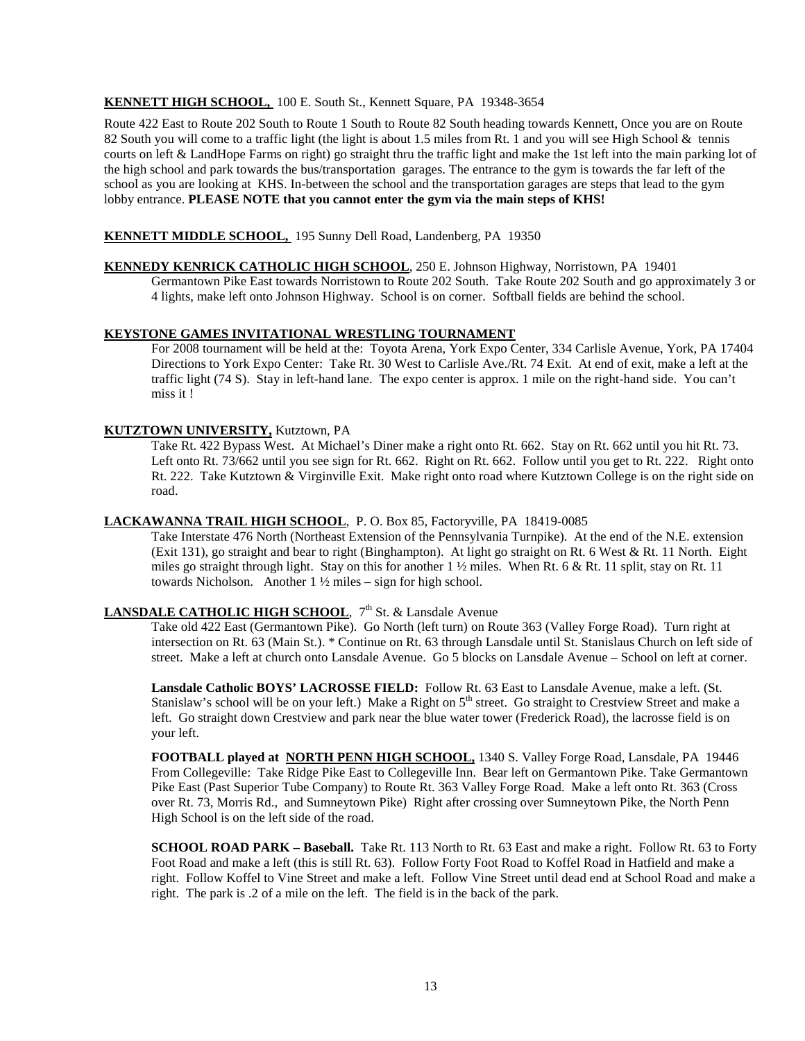# **KENNETT HIGH SCHOOL,**  100 E. South St., Kennett Square, PA 19348-3654

Route 422 East to Route 202 South to Route 1 South to Route 82 South heading towards Kennett, Once you are on Route 82 South you will come to a traffic light (the light is about 1.5 miles from Rt. 1 and you will see High School & tennis courts on left & LandHope Farms on right) go straight thru the traffic light and make the 1st left into the main parking lot of the high school and park towards the bus/transportation garages. The entrance to the gym is towards the far left of the school as you are looking at KHS. In-between the school and the transportation garages are steps that lead to the gym lobby entrance. **PLEASE NOTE that you cannot enter the gym via the main steps of KHS!**

# **KENNETT MIDDLE SCHOOL,** 195 Sunny Dell Road, Landenberg, PA 19350

# **KENNEDY KENRICK CATHOLIC HIGH SCHOOL** , 250 E. Johnson Highway, Norristown, PA 19401

Germantown Pike East towards Norristown to Route 202 South. Take Route 202 South and go approximately 3 or 4 lights, make left onto Johnson Highway. School is on corner. Softball fields are behind the school.

#### **KEYSTONE GAMES INVITATIONAL WRESTLING TOURNAMENT**

For 2008 tournament will be held at the: Toyota Arena, York Expo Center, 334 Carlisle Avenue, York, PA 17404 Directions to York Expo Center: Take Rt. 30 West to Carlisle Ave./Rt. 74 Exit. At end of exit, make a left at the traffic light (74 S). Stay in left-hand lane. The expo center is approx. 1 mile on the right-hand side. You can't miss it !

# **KUTZTOWN UNIVERSITY,** Kutztown, PA

Take Rt. 422 Bypass West. At Michael's Diner make a right onto Rt. 662. Stay on Rt. 662 until you hit Rt. 73. Left onto Rt. 73/662 until you see sign for Rt. 662. Right on Rt. 662. Follow until you get to Rt. 222. Right onto Rt. 222. Take Kutztown & Virginville Exit. Make right onto road where Kutztown College is on the right side on road.

#### **LACKAWANNA TRAIL HIGH SCHOOL** , P. O. Box 85, Factoryville, PA 18419-0085

Take Interstate 476 North (Northeast Extension of the Pennsylvania Turnpike). At the end of the N.E. extension (Exit 131), go straight and bear to right (Binghampton). At light go straight on Rt. 6 West & Rt. 11 North. Eight miles go straight through light. Stay on this for another 1 ½ miles. When Rt. 6 & Rt. 11 split, stay on Rt. 11 towards Nicholson. Another 1 ½ miles – sign for high school.

# LANSDALE CATHOLIC HIGH SCHOOL, 7<sup>th</sup> St. & Lansdale Avenue

Take old 422 East (Germantown Pike). Go North (left turn) on Route 363 (Valley Forge Road). Turn right at intersection on Rt. 63 (Main St.). \* Continue on Rt. 63 through Lansdale until St. Stanislaus Church on left side of street. Make a left at church onto Lansdale Avenue. Go 5 blocks on Lansdale Avenue – School on left at corner.

**Lansdale Catholic BOYS' LACROSSE FIELD:** Follow Rt. 63 East to Lansdale Avenue, make a left. (St. Stanislaw's school will be on your left.) Make a Right on  $5<sup>th</sup>$  street. Go straight to Crestview Street and make a left. Go straight down Crestview and park near the blue water tower (Frederick Road), the lacrosse field is on your left.

**FOOTBALL played at NORTH PENN HIGH SCHOOL,** 1340 S. Valley Forge Road, Lansdale, PA 19446 From Collegeville: Take Ridge Pike East to Collegeville Inn. Bear left on Germantown Pike. Take Germantown Pike East (Past Superior Tube Company) to Route Rt. 363 Valley Forge Road. Make a left onto Rt. 363 (Cross over Rt. 73, Morris Rd., and Sumneytown Pike) Right after crossing over Sumneytown Pike, the North Penn High School is on the left side of the road.

**SCHOOL ROAD PARK – Baseball.** Take Rt. 113 North to Rt. 63 East and make a right. Follow Rt. 63 to Forty Foot Road and make a left (this is still Rt. 63). Follow Forty Foot Road to Koffel Road in Hatfield and make a right. Follow Koffel to Vine Street and make a left. Follow Vine Street until dead end at School Road and make a right. The park is .2 of a mile on the left. The field is in the back of the park.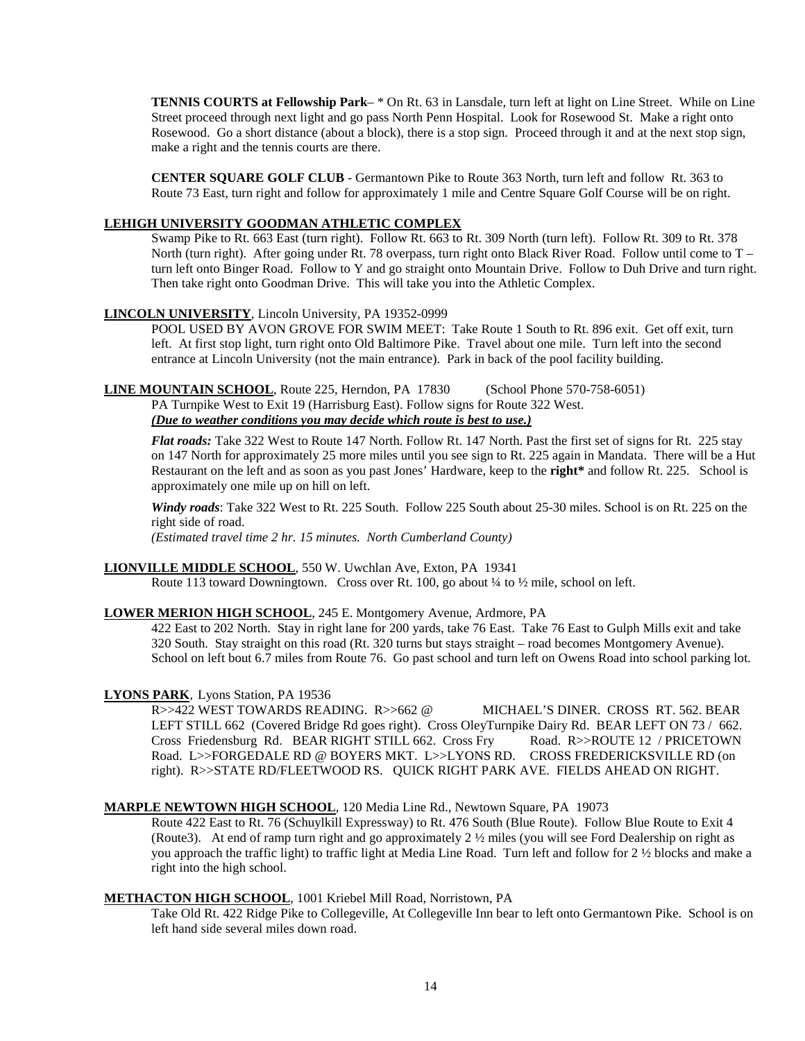**TENNIS COURTS at Fellowship Park**– \* On Rt. 63 in Lansdale, turn left at light on Line Street. While on Line Street proceed through next light and go pass North Penn Hospital. Look for Rosewood St. Make a right onto Rosewood. Go a short distance (about a block), there is a stop sign. Proceed through it and at the next stop sign, make a right and the tennis courts are there.

**CENTER SQUARE GOLF CLUB** - Germantown Pike to Route 363 North, turn left and follow Rt. 363 to Route 73 East, turn right and follow for approximately 1 mile and Centre Square Golf Course will be on right.

# **LEHIGH UNIVERSITY GOODMAN ATHLETIC COMPLEX**

Swamp Pike to Rt. 663 East (turn right). Follow Rt. 663 to Rt. 309 North (turn left). Follow Rt. 309 to Rt. 378 North (turn right). After going under Rt. 78 overpass, turn right onto Black River Road. Follow until come to T turn left onto Binger Road. Follow to Y and go straight onto Mountain Drive. Follow to Duh Drive and turn right. Then take right onto Goodman Drive. This will take you into the Athletic Complex.

# **LINCOLN UNIVERSITY** , Lincoln University, PA 19352-0999

POOL USED BY AVON GROVE FOR SWIM MEET: Take Route 1 South to Rt. 896 exit. Get off exit, turn left. At first stop light, turn right onto Old Baltimore Pike. Travel about one mile. Turn left into the second entrance at Lincoln University (not the main entrance). Park in back of the pool facility building.

# **LINE MOUNTAIN SCHOOL** , Route 225, Herndon, PA 17830 (School Phone 570-758-6051)

PA Turnpike West to Exit 19 (Harrisburg East). Follow signs for Route 322 West. *(Due to weather conditions you may decide which route is best to use.)*

*Flat roads:* Take 322 West to Route 147 North. Follow Rt. 147 North. Past the first set of signs for Rt. 225 stay on 147 North for approximately 25 more miles until you see sign to Rt. 225 again in Mandata. There will be a Hut Restaurant on the left and as soon as you past Jones' Hardware, keep to the **right\*** and follow Rt. 225. School is approximately one mile up on hill on left.

*Windy roads*: Take 322 West to Rt. 225 South. Follow 225 South about 25-30 miles. School is on Rt. 225 on the right side of road.

*(Estimated travel time 2 hr. 15 minutes. North Cumberland County)*

# **LIONVILLE MIDDLE SCHOOL** , 550 W. Uwchlan Ave, Exton, PA 19341

Route 113 toward Downingtown. Cross over Rt. 100, go about  $\frac{1}{4}$  to  $\frac{1}{2}$  mile, school on left.

#### **LOWER MERION HIGH SCHOOL** , 245 E. Montgomery Avenue, Ardmore, PA

422 East to 202 North. Stay in right lane for 200 yards, take 76 East. Take 76 East to Gulph Mills exit and take 320 South. Stay straight on this road (Rt. 320 turns but stays straight – road becomes Montgomery Avenue). School on left bout 6.7 miles from Route 76. Go past school and turn left on Owens Road into school parking lot.

# **LYONS PARK**, Lyons Station, PA 19536

R>>422 WEST TOWARDS READING. R>>662 @ MICHAEL'S DINER. CROSS RT. 562. BEAR LEFT STILL 662 (Covered Bridge Rd goes right). Cross OleyTurnpike Dairy Rd. BEAR LEFT ON 73 / 662. Cross Friedensburg Rd. BEAR RIGHT STILL 662. Cross Fry Road. R>>ROUTE 12 / PRICETOWN Road. L>>FORGEDALE RD @ BOYERS MKT. L>>LYONS RD. CROSS FREDERICKSVILLE RD (on right). R>>STATE RD/FLEETWOOD RS. QUICK RIGHT PARK AVE. FIELDS AHEAD ON RIGHT.

#### **MARPLE NEWTOWN HIGH SCHOOL** , 120 Media Line Rd., Newtown Square, PA 19073

Route 422 East to Rt. 76 (Schuylkill Expressway) to Rt. 476 South (Blue Route). Follow Blue Route to Exit 4 (Route3). At end of ramp turn right and go approximately 2 ½ miles (you will see Ford Dealership on right as you approach the traffic light) to traffic light at Media Line Road. Turn left and follow for 2 ½ blocks and make a right into the high school.

#### **METHACTON HIGH SCHOOL** , 1001 Kriebel Mill Road, Norristown, PA

Take Old Rt. 422 Ridge Pike to Collegeville, At Collegeville Inn bear to left onto Germantown Pike. School is on left hand side several miles down road.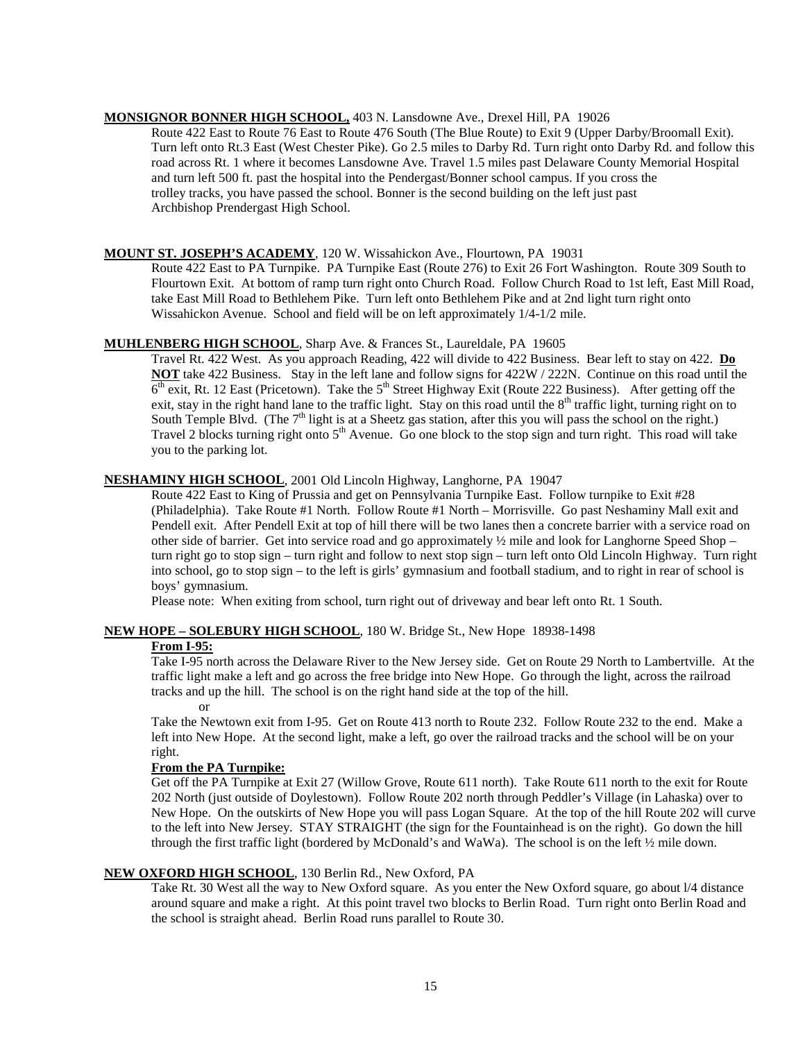# **MONSIGNOR BONNER HIGH SCHOOL,** 403 N. Lansdowne Ave., Drexel Hill, PA 19026

Route 422 East to Route 76 East to Route 476 South (The Blue Route) to Exit 9 (Upper Darby/Broomall Exit). Turn left onto Rt.3 East (West Chester Pike). Go 2.5 miles to Darby Rd. Turn right onto Darby Rd. and follow this road across Rt. 1 where it becomes Lansdowne Ave. Travel 1.5 miles past Delaware County Memorial Hospital and turn left 500 ft. past the hospital into the Pendergast/Bonner school campus. If you cross the trolley tracks, you have passed the school. Bonner is the second building on the left just past Archbishop Prendergast High School.

# **MOUNT ST. JOSEPH'S ACADEMY** , 120 W. Wissahickon Ave., Flourtown, PA 19031

Route 422 East to PA Turnpike. PA Turnpike East (Route 276) to Exit 26 Fort Washington. Route 309 South to Flourtown Exit. At bottom of ramp turn right onto Church Road. Follow Church Road to 1st left, East Mill Road, take East Mill Road to Bethlehem Pike. Turn left onto Bethlehem Pike and at 2nd light turn right onto Wissahickon Avenue. School and field will be on left approximately 1/4-1/2 mile.

# **MUHLENBERG HIGH SCHOOL** , Sharp Ave. & Frances St., Laureldale, PA 19605

Travel Rt. 422 West. As you approach Reading, 422 will divide to 422 Business. Bear left to stay on 422. **Do NOT** take 422 Business. Stay in the left lane and follow signs for 422W / 222N. Continue on this road until the  $6<sup>th</sup>$  exit, Rt. 12 East (Pricetown). Take the 5<sup>th</sup> Street Highway Exit (Route 222 Business). After getting off the exit, stay in the right hand lane to the traffic light. Stay on this road until the 8<sup>th</sup> traffic light, turning right on to South Temple Blvd. (The  $7<sup>th</sup>$  light is at a Sheetz gas station, after this you will pass the school on the right.) Travel 2 blocks turning right onto  $5<sup>th</sup>$  Avenue. Go one block to the stop sign and turn right. This road will take you to the parking lot.

# **NESHAMINY HIGH SCHOOL** , 2001 Old Lincoln Highway, Langhorne, PA 19047

Route 422 East to King of Prussia and get on Pennsylvania Turnpike East. Follow turnpike to Exit #28 (Philadelphia). Take Route #1 North. Follow Route #1 North – Morrisville. Go past Neshaminy Mall exit and Pendell exit. After Pendell Exit at top of hill there will be two lanes then a concrete barrier with a service road on other side of barrier. Get into service road and go approximately ½ mile and look for Langhorne Speed Shop – turn right go to stop sign – turn right and follow to next stop sign – turn left onto Old Lincoln Highway. Turn right into school, go to stop sign – to the left is girls' gymnasium and football stadium, and to right in rear of school is boys' gymnasium.

Please note: When exiting from school, turn right out of driveway and bear left onto Rt. 1 South.

#### **NEW HOPE – SOLEBURY HIGH SCHOOL**, 180 W. Bridge St., New Hope 18938-1498

#### **From I-95:**

Take I-95 north across the Delaware River to the New Jersey side. Get on Route 29 North to Lambertville. At the traffic light make a left and go across the free bridge into New Hope. Go through the light, across the railroad tracks and up the hill. The school is on the right hand side at the top of the hill. or

Take the Newtown exit from I-95. Get on Route 413 north to Route 232. Follow Route 232 to the end. Make a left into New Hope. At the second light, make a left, go over the railroad tracks and the school will be on your right.

#### **From the PA Turnpike:**

Get off the PA Turnpike at Exit 27 (Willow Grove, Route 611 north). Take Route 611 north to the exit for Route 202 North (just outside of Doylestown). Follow Route 202 north through Peddler's Village (in Lahaska) over to New Hope. On the outskirts of New Hope you will pass Logan Square. At the top of the hill Route 202 will curve to the left into New Jersey. STAY STRAIGHT (the sign for the Fountainhead is on the right). Go down the hill through the first traffic light (bordered by McDonald's and WaWa). The school is on the left ½ mile down.

#### **NEW OXFORD HIGH SCHOOL** , 130 Berlin Rd., New Oxford, PA

Take Rt. 30 West all the way to New Oxford square. As you enter the New Oxford square, go about l/4 distance around square and make a right. At this point travel two blocks to Berlin Road. Turn right onto Berlin Road and the school is straight ahead. Berlin Road runs parallel to Route 30.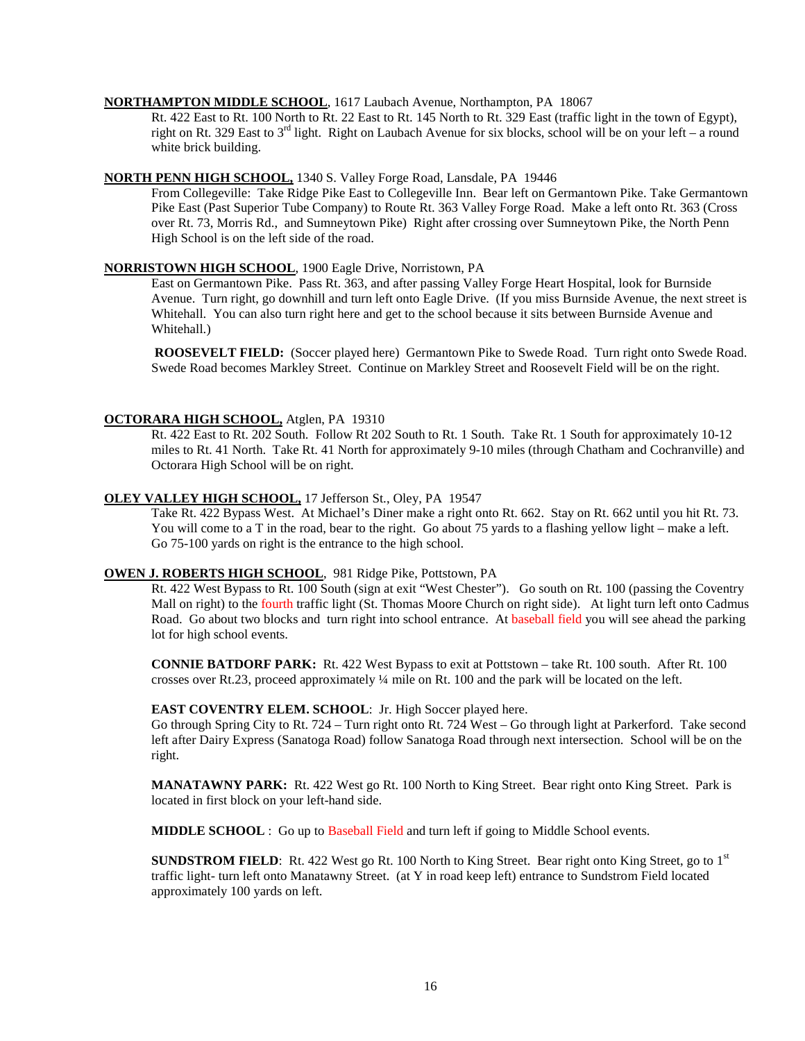#### **NORTHAMPTON MIDDLE SCHOOL** , 1617 Laubach Avenue, Northampton, PA 18067

Rt. 422 East to Rt. 100 North to Rt. 22 East to Rt. 145 North to Rt. 329 East (traffic light in the town of Egypt), right on Rt. 329 East to  $3<sup>rd</sup>$  light. Right on Laubach Avenue for six blocks, school will be on your left – a round white brick building.

#### **NORTH PENN HIGH SCHOOL,** 1340 S. Valley Forge Road, Lansdale, PA 19446

From Collegeville: Take Ridge Pike East to Collegeville Inn. Bear left on Germantown Pike. Take Germantown Pike East (Past Superior Tube Company) to Route Rt. 363 Valley Forge Road. Make a left onto Rt. 363 (Cross over Rt. 73, Morris Rd., and Sumneytown Pike) Right after crossing over Sumneytown Pike, the North Penn High School is on the left side of the road.

#### **NORRISTOWN HIGH SCHOOL** , 1900 Eagle Drive, Norristown, PA

East on Germantown Pike. Pass Rt. 363, and after passing Valley Forge Heart Hospital, look for Burnside Avenue. Turn right, go downhill and turn left onto Eagle Drive. (If you miss Burnside Avenue, the next street is Whitehall. You can also turn right here and get to the school because it sits between Burnside Avenue and Whitehall.)

**ROOSEVELT FIELD:** (Soccer played here) Germantown Pike to Swede Road. Turn right onto Swede Road. Swede Road becomes Markley Street. Continue on Markley Street and Roosevelt Field will be on the right.

#### **OCTORARA HIGH SCHOOL,** Atglen, PA 19310

Rt. 422 East to Rt. 202 South. Follow Rt 202 South to Rt. 1 South. Take Rt. 1 South for approximately 10-12 miles to Rt. 41 North. Take Rt. 41 North for approximately 9-10 miles (through Chatham and Cochranville) and Octorara High School will be on right.

#### **OLEY VALLEY HIGH SCHOOL,** 17 Jefferson St., Oley, PA 19547

Take Rt. 422 Bypass West. At Michael's Diner make a right onto Rt. 662. Stay on Rt. 662 until you hit Rt. 73. You will come to a T in the road, bear to the right. Go about 75 yards to a flashing yellow light – make a left. Go 75-100 yards on right is the entrance to the high school.

# **OWEN J. ROBERTS HIGH SCHOOL** , 981 Ridge Pike, Pottstown, PA

Rt. 422 West Bypass to Rt. 100 South (sign at exit "West Chester"). Go south on Rt. 100 (passing the Coventry Mall on right) to the fourth traffic light (St. Thomas Moore Church on right side). At light turn left onto Cadmus Road. Go about two blocks and turn right into school entrance. At baseball field you will see ahead the parking lot for high school events.

**CONNIE BATDORF PARK:** Rt. 422 West Bypass to exit at Pottstown – take Rt. 100 south. After Rt. 100 crosses over Rt.23, proceed approximately ¼ mile on Rt. 100 and the park will be located on the left.

#### **EAST COVENTRY ELEM. SCHOOL**: Jr. High Soccer played here.

Go through Spring City to Rt. 724 – Turn right onto Rt. 724 West – Go through light at Parkerford. Take second left after Dairy Express (Sanatoga Road) follow Sanatoga Road through next intersection. School will be on the right.

**MANATAWNY PARK:** Rt. 422 West go Rt. 100 North to King Street. Bear right onto King Street. Park is located in first block on your left-hand side.

**MIDDLE SCHOOL** : Go up to Baseball Field and turn left if going to Middle School events.

**SUNDSTROM FIELD**: Rt. 422 West go Rt. 100 North to King Street. Bear right onto King Street, go to 1<sup>st</sup> traffic light- turn left onto Manatawny Street. (at Y in road keep left) entrance to Sundstrom Field located approximately 100 yards on left.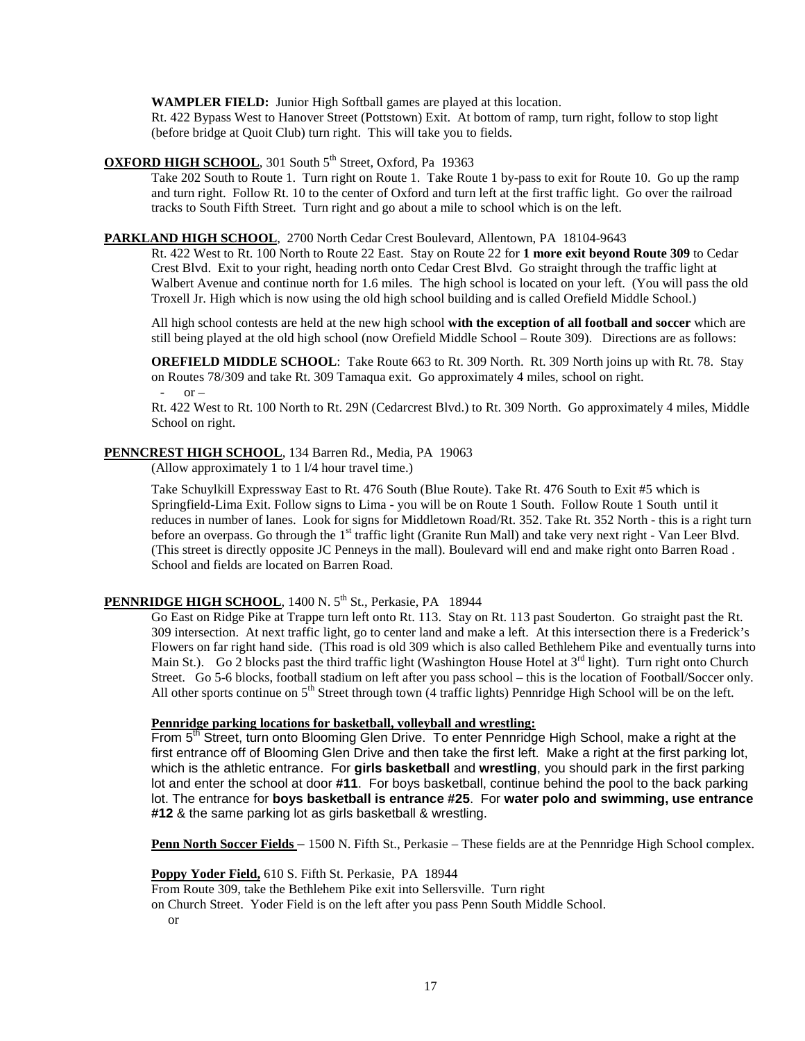**WAMPLER FIELD:** Junior High Softball games are played at this location.

Rt. 422 Bypass West to Hanover Street (Pottstown) Exit. At bottom of ramp, turn right, follow to stop light (before bridge at Quoit Club) turn right. This will take you to fields.

# **OXFORD HIGH SCHOOL**, 301 South 5<sup>th</sup> Street, Oxford, Pa 19363

Take 202 South to Route 1. Turn right on Route 1. Take Route 1 by-pass to exit for Route 10. Go up the ramp and turn right. Follow Rt. 10 to the center of Oxford and turn left at the first traffic light. Go over the railroad tracks to South Fifth Street. Turn right and go about a mile to school which is on the left.

#### **PARKLAND HIGH SCHOOL** , 2700 North Cedar Crest Boulevard, Allentown, PA 18104-9643

Rt. 422 West to Rt. 100 North to Route 22 East. Stay on Route 22 for **1 more exit beyond Route 309** to Cedar Crest Blvd. Exit to your right, heading north onto Cedar Crest Blvd. Go straight through the traffic light at Walbert Avenue and continue north for 1.6 miles. The high school is located on your left. (You will pass the old Troxell Jr. High which is now using the old high school building and is called Orefield Middle School.)

All high school contests are held at the new high school **with the exception of all football and soccer** which are still being played at the old high school (now Orefield Middle School – Route 309). Directions are as follows:

**OREFIELD MIDDLE SCHOOL**: Take Route 663 to Rt. 309 North. Rt. 309 North joins up with Rt. 78. Stay on Routes 78/309 and take Rt. 309 Tamaqua exit. Go approximately 4 miles, school on right.  $-$  or  $-$ 

Rt. 422 West to Rt. 100 North to Rt. 29N (Cedarcrest Blvd.) to Rt. 309 North. Go approximately 4 miles, Middle School on right.

# **PENNCREST HIGH SCHOOL** , 134 Barren Rd., Media, PA 19063

(Allow approximately 1 to 1 l/4 hour travel time.)

Take Schuylkill Expressway East to Rt. 476 South (Blue Route). Take Rt. 476 South to Exit #5 which is Springfield-Lima Exit. Follow signs to Lima - you will be on Route 1 South. Follow Route 1 South until it reduces in number of lanes. Look for signs for Middletown Road/Rt. 352. Take Rt. 352 North - this is a right turn before an overpass. Go through the 1<sup>st</sup> traffic light (Granite Run Mall) and take very next right - Van Leer Blvd. (This street is directly opposite JC Penneys in the mall). Boulevard will end and make right onto Barren Road . School and fields are located on Barren Road.

# PENNRIDGE HIGH SCHOOL, 1400 N. 5<sup>th</sup> St., Perkasie, PA 18944

Go East on Ridge Pike at Trappe turn left onto Rt. 113. Stay on Rt. 113 past Souderton. Go straight past the Rt. 309 intersection. At next traffic light, go to center land and make a left. At this intersection there is a Frederick's Flowers on far right hand side. (This road is old 309 which is also called Bethlehem Pike and eventually turns into Main St.). Go 2 blocks past the third traffic light (Washington House Hotel at  $3<sup>rd</sup>$  light). Turn right onto Church Street. Go 5-6 blocks, football stadium on left after you pass school – this is the location of Football/Soccer only. All other sports continue on  $5<sup>th</sup>$  Street through town (4 traffic lights) Pennridge High School will be on the left.

**Pennridge parking locations for basketball, volleyball and wrestling:**<br>From 5<sup>th</sup> Street, turn onto Blooming Glen Drive. To enter Pennridge High School, make a right at the first entrance off of Blooming Glen Drive and then take the first left. Make a right at the first parking lot, which is the athletic entrance. For **girls basketball** and **wrestling**, you should park in the first parking lot and enter the school at door **#11**. For boys basketball, continue behind the pool to the back parking lot. The entrance for **boys basketball is entrance #25**. For **water polo and swimming, use entrance #12** & the same parking lot as girls basketball & wrestling.

**Penn North Soccer Fields** – 1500 N. Fifth St., Perkasie – These fields are at the Pennridge High School complex.

**Poppy Yoder Field,** 610 S. Fifth St. Perkasie, PA 18944

From Route 309, take the Bethlehem Pike exit into Sellersville. Turn right

on Church Street. Yoder Field is on the left after you pass Penn South Middle School.

or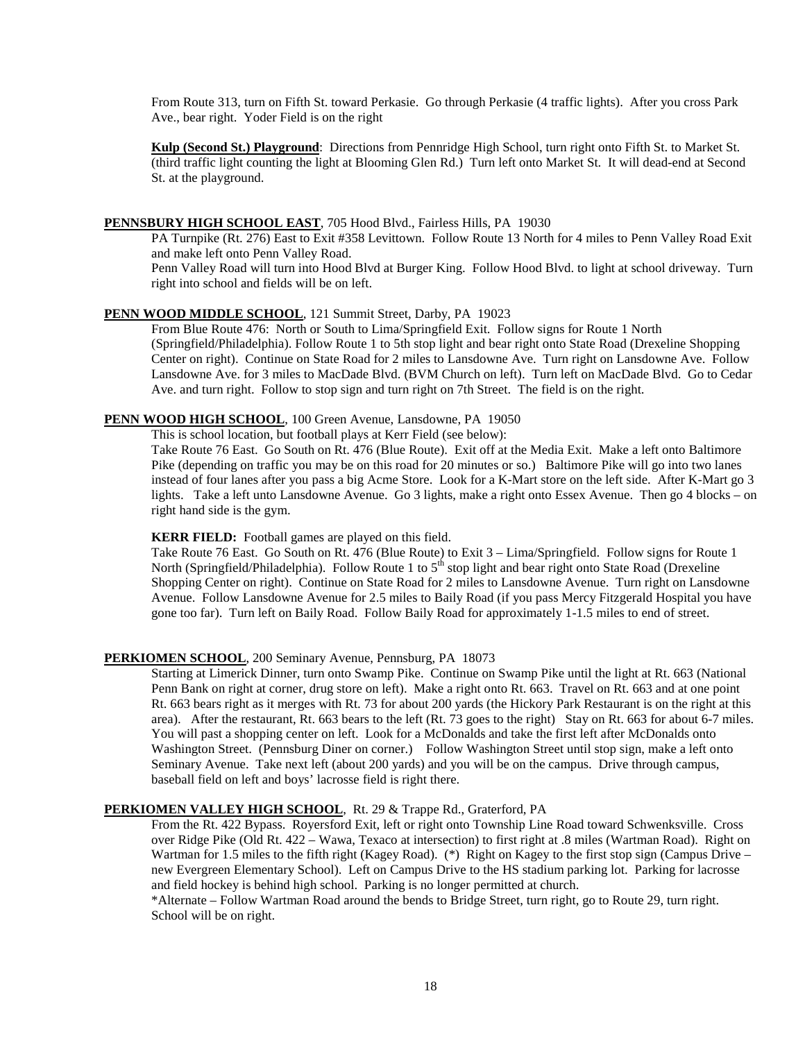From Route 313, turn on Fifth St. toward Perkasie. Go through Perkasie (4 traffic lights). After you cross Park Ave., bear right. Yoder Field is on the right

**Kulp (Second St.) Playground**: Directions from Pennridge High School, turn right onto Fifth St. to Market St. (third traffic light counting the light at Blooming Glen Rd.) Turn left onto Market St. It will dead-end at Second St. at the playground.

# **PENNSBURY HIGH SCHOOL EAST** , 705 Hood Blvd., Fairless Hills, PA 19030

PA Turnpike (Rt. 276) East to Exit #358 Levittown. Follow Route 13 North for 4 miles to Penn Valley Road Exit and make left onto Penn Valley Road.

Penn Valley Road will turn into Hood Blvd at Burger King. Follow Hood Blvd. to light at school driveway. Turn right into school and fields will be on left.

# **PENN WOOD MIDDLE SCHOOL** , 121 Summit Street, Darby, PA 19023

From Blue Route 476: North or South to Lima/Springfield Exit. Follow signs for Route 1 North (Springfield/Philadelphia). Follow Route 1 to 5th stop light and bear right onto State Road (Drexeline Shopping Center on right). Continue on State Road for 2 miles to Lansdowne Ave. Turn right on Lansdowne Ave. Follow Lansdowne Ave. for 3 miles to MacDade Blvd. (BVM Church on left). Turn left on MacDade Blvd. Go to Cedar Ave. and turn right. Follow to stop sign and turn right on 7th Street. The field is on the right.

#### **PENN WOOD HIGH SCHOOL** , 100 Green Avenue, Lansdowne, PA 19050

This is school location, but football plays at Kerr Field (see below):

Take Route 76 East. Go South on Rt. 476 (Blue Route). Exit off at the Media Exit. Make a left onto Baltimore Pike (depending on traffic you may be on this road for 20 minutes or so.) Baltimore Pike will go into two lanes instead of four lanes after you pass a big Acme Store. Look for a K-Mart store on the left side. After K-Mart go 3 lights. Take a left unto Lansdowne Avenue. Go 3 lights, make a right onto Essex Avenue. Then go 4 blocks – on right hand side is the gym.

#### **KERR FIELD:** Football games are played on this field.

Take Route 76 East. Go South on Rt. 476 (Blue Route) to Exit 3 – Lima/Springfield. Follow signs for Route 1 North (Springfield/Philadelphia). Follow Route 1 to 5<sup>th</sup> stop light and bear right onto State Road (Drexeline Shopping Center on right). Continue on State Road for 2 miles to Lansdowne Avenue. Turn right on Lansdowne Avenue. Follow Lansdowne Avenue for 2.5 miles to Baily Road (if you pass Mercy Fitzgerald Hospital you have gone too far). Turn left on Baily Road. Follow Baily Road for approximately 1-1.5 miles to end of street.

#### **PERKIOMEN SCHOOL** , 200 Seminary Avenue, Pennsburg, PA 18073

Starting at Limerick Dinner, turn onto Swamp Pike. Continue on Swamp Pike until the light at Rt. 663 (National Penn Bank on right at corner, drug store on left). Make a right onto Rt. 663. Travel on Rt. 663 and at one point Rt. 663 bears right as it merges with Rt. 73 for about 200 yards (the Hickory Park Restaurant is on the right at this area). After the restaurant, Rt. 663 bears to the left (Rt. 73 goes to the right) Stay on Rt. 663 for about 6-7 miles. You will past a shopping center on left. Look for a McDonalds and take the first left after McDonalds onto Washington Street. (Pennsburg Diner on corner.) Follow Washington Street until stop sign, make a left onto Seminary Avenue. Take next left (about 200 yards) and you will be on the campus. Drive through campus, baseball field on left and boys' lacrosse field is right there.

#### **PERKIOMEN VALLEY HIGH SCHOOL** , Rt. 29 & Trappe Rd., Graterford, PA

From the Rt. 422 Bypass. Royersford Exit, left or right onto Township Line Road toward Schwenksville. Cross over Ridge Pike (Old Rt. 422 – Wawa, Texaco at intersection) to first right at .8 miles (Wartman Road). Right on Wartman for 1.5 miles to the fifth right (Kagey Road). (\*) Right on Kagey to the first stop sign (Campus Drive – new Evergreen Elementary School). Left on Campus Drive to the HS stadium parking lot. Parking for lacrosse and field hockey is behind high school. Parking is no longer permitted at church.

\*Alternate – Follow Wartman Road around the bends to Bridge Street, turn right, go to Route 29, turn right. School will be on right.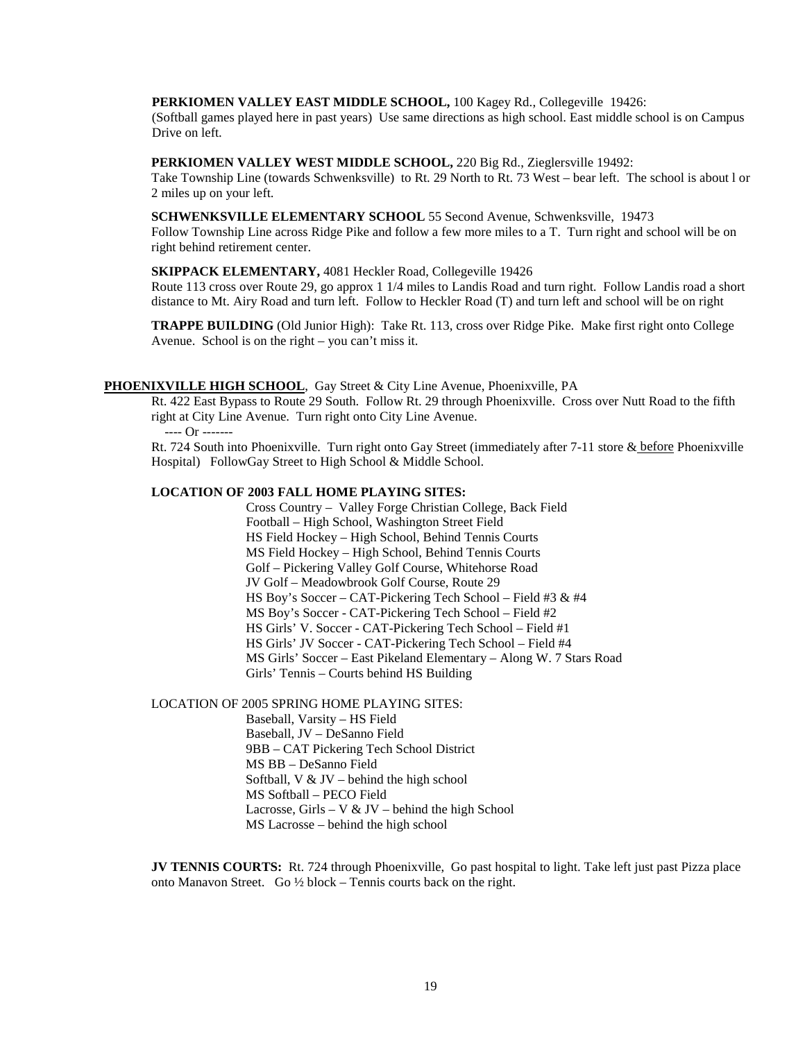#### **PERKIOMEN VALLEY EAST MIDDLE SCHOOL,** 100 Kagey Rd., Collegeville 19426:

 (Softball games played here in past years) Use same directions as high school. East middle school is on Campus Drive on left.

#### **PERKIOMEN VALLEY WEST MIDDLE SCHOOL,** 220 Big Rd., Zieglersville 19492:

Take Township Line (towards Schwenksville) to Rt. 29 North to Rt. 73 West – bear left. The school is about l or 2 miles up on your left.

# **SCHWENKSVILLE ELEMENTARY SCHOOL** 55 Second Avenue, Schwenksville, 19473

Follow Township Line across Ridge Pike and follow a few more miles to a T. Turn right and school will be on right behind retirement center.

#### **SKIPPACK ELEMENTARY,** 4081 Heckler Road, Collegeville 19426

Route 113 cross over Route 29, go approx 1 1/4 miles to Landis Road and turn right. Follow Landis road a short distance to Mt. Airy Road and turn left. Follow to Heckler Road (T) and turn left and school will be on right

**TRAPPE BUILDING** (Old Junior High): Take Rt. 113, cross over Ridge Pike. Make first right onto College Avenue. School is on the right – you can't miss it.

# **PHOENIXVILLE HIGH SCHOOL** , Gay Street & City Line Avenue, Phoenixville, PA

Rt. 422 East Bypass to Route 29 South. Follow Rt. 29 through Phoenixville. Cross over Nutt Road to the fifth right at City Line Avenue. Turn right onto City Line Avenue. ---- Or -------

Rt. 724 South into Phoenixville. Turn right onto Gay Street (immediately after 7-11 store & before Phoenixville Hospital) FollowGay Street to High School & Middle School.

#### **LOCATION OF 2003 FALL HOME PLAYING SITES:**

Cross Country – Valley Forge Christian College, Back Field Football – High School, Washington Street Field HS Field Hockey – High School, Behind Tennis Courts MS Field Hockey – High School, Behind Tennis Courts Golf – Pickering Valley Golf Course, Whitehorse Road JV Golf – Meadowbrook Golf Course, Route 29 HS Boy's Soccer – CAT-Pickering Tech School – Field #3 & #4 MS Boy's Soccer - CAT-Pickering Tech School – Field #2 HS Girls' V. Soccer - CAT-Pickering Tech School – Field #1 HS Girls' JV Soccer - CAT-Pickering Tech School – Field #4 MS Girls' Soccer – East Pikeland Elementary – Along W. 7 Stars Road Girls' Tennis – Courts behind HS Building

LOCATION OF 2005 SPRING HOME PLAYING SITES:

Baseball, Varsity – HS Field Baseball, JV – DeSanno Field 9BB – CAT Pickering Tech School District MS BB – DeSanno Field Softball,  $V & JV$  – behind the high school MS Softball – PECO Field Lacrosse, Girls – V & JV – behind the high School MS Lacrosse – behind the high school

**JV TENNIS COURTS:** Rt. 724 through Phoenixville, Go past hospital to light. Take left just past Pizza place onto Manavon Street. Go ½ block – Tennis courts back on the right.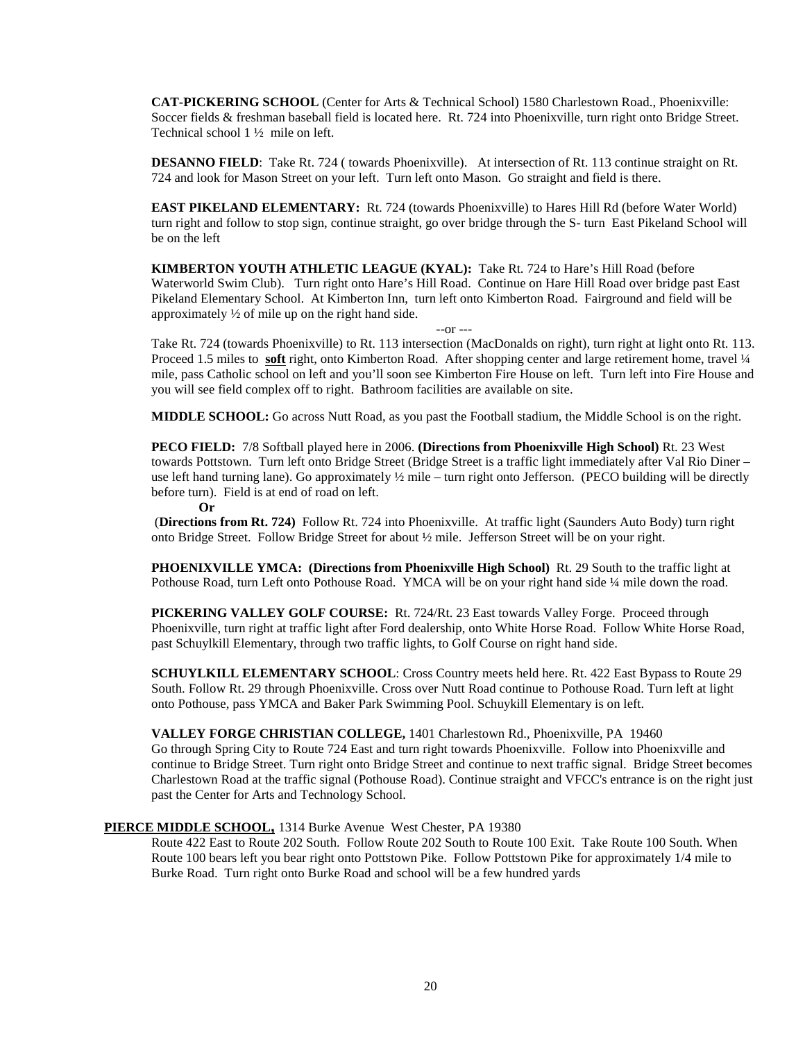**CAT-PICKERING SCHOOL** (Center for Arts & Technical School) 1580 Charlestown Road., Phoenixville: Soccer fields & freshman baseball field is located here. Rt. 724 into Phoenixville, turn right onto Bridge Street. Technical school 1 ½ mile on left.

**DESANNO FIELD:** Take Rt. 724 ( towards Phoenixville). At intersection of Rt. 113 continue straight on Rt. 724 and look for Mason Street on your left. Turn left onto Mason. Go straight and field is there.

**EAST PIKELAND ELEMENTARY:** Rt. 724 (towards Phoenixville) to Hares Hill Rd (before Water World) turn right and follow to stop sign, continue straight, go over bridge through the S- turn East Pikeland School will be on the left

**KIMBERTON YOUTH ATHLETIC LEAGUE (KYAL):** Take Rt. 724 to Hare's Hill Road (before Waterworld Swim Club). Turn right onto Hare's Hill Road. Continue on Hare Hill Road over bridge past East Pikeland Elementary School. At Kimberton Inn, turn left onto Kimberton Road. Fairground and field will be approximately ½ of mile up on the right hand side.

--or --- Take Rt. 724 (towards Phoenixville) to Rt. 113 intersection (MacDonalds on right), turn right at light onto Rt. 113. Proceed 1.5 miles to **soft** right, onto Kimberton Road. After shopping center and large retirement home, travel ¼ mile, pass Catholic school on left and you'll soon see Kimberton Fire House on left. Turn left into Fire House and you will see field complex off to right. Bathroom facilities are available on site.

**MIDDLE SCHOOL:** Go across Nutt Road, as you past the Football stadium, the Middle School is on the right.

**PECO FIELD:** 7/8 Softball played here in 2006. **(Directions from Phoenixville High School)** Rt. 23 West towards Pottstown. Turn left onto Bridge Street (Bridge Street is a traffic light immediately after Val Rio Diner – use left hand turning lane). Go approximately  $\frac{1}{2}$  mile – turn right onto Jefferson. (PECO building will be directly before turn). Field is at end of road on left.

**Or**

(**Directions from Rt. 724)** Follow Rt. 724 into Phoenixville. At traffic light (Saunders Auto Body) turn right onto Bridge Street. Follow Bridge Street for about ½ mile. Jefferson Street will be on your right.

**PHOENIXVILLE YMCA: (Directions from Phoenixville High School)** Rt. 29 South to the traffic light at Pothouse Road, turn Left onto Pothouse Road. YMCA will be on your right hand side ¼ mile down the road.

**PICKERING VALLEY GOLF COURSE:** Rt. 724/Rt. 23 East towards Valley Forge. Proceed through Phoenixville, turn right at traffic light after Ford dealership, onto White Horse Road. Follow White Horse Road, past Schuylkill Elementary, through two traffic lights, to Golf Course on right hand side.

**SCHUYLKILL ELEMENTARY SCHOOL**: Cross Country meets held here. Rt. 422 East Bypass to Route 29 South. Follow Rt. 29 through Phoenixville. Cross over Nutt Road continue to Pothouse Road. Turn left at light onto Pothouse, pass YMCA and Baker Park Swimming Pool. Schuykill Elementary is on left.

#### **VALLEY FORGE CHRISTIAN COLLEGE,** 1401 Charlestown Rd., Phoenixville, PA 19460

Go through Spring City to Route 724 East and turn right towards Phoenixville. Follow into Phoenixville and continue to Bridge Street. Turn right onto Bridge Street and continue to next traffic signal. Bridge Street becomes Charlestown Road at the traffic signal (Pothouse Road). Continue straight and VFCC's entrance is on the right just past the Center for Arts and Technology School.

# **PIERCE MIDDLE SCHOOL,** 1314 Burke Avenue West Chester, PA 19380

Route 422 East to Route 202 South. Follow Route 202 South to Route 100 Exit. Take Route 100 South. When Route 100 bears left you bear right onto Pottstown Pike. Follow Pottstown Pike for approximately 1/4 mile to Burke Road. Turn right onto Burke Road and school will be a few hundred yards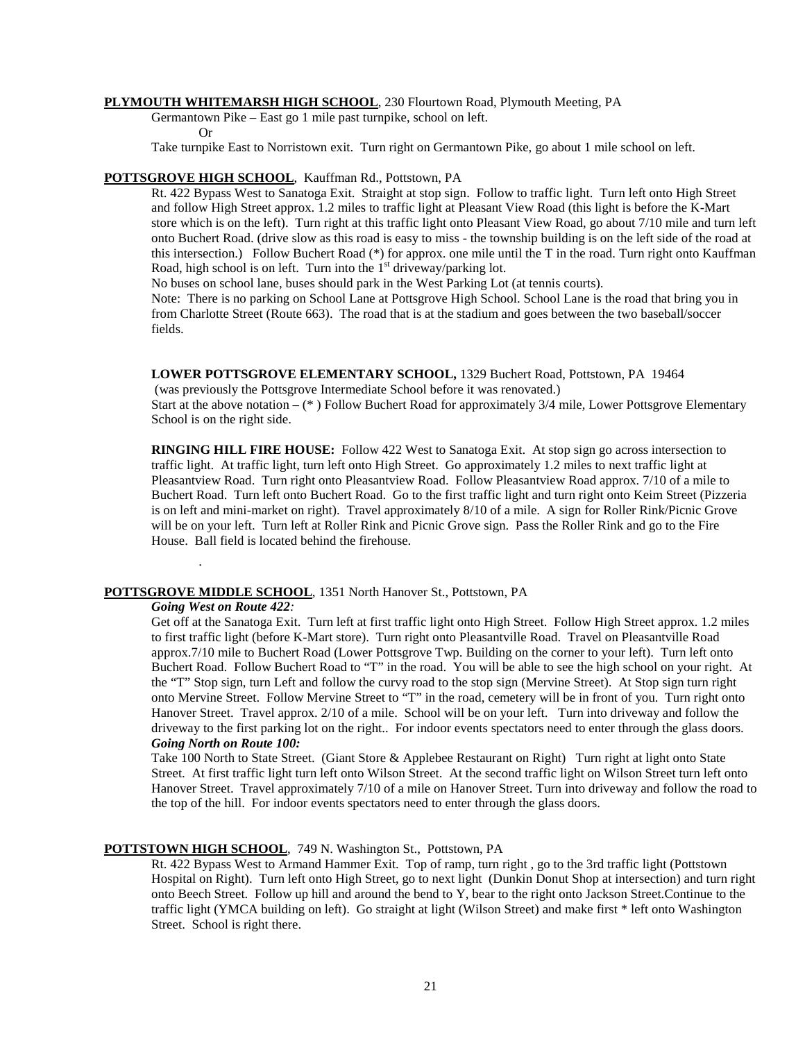#### **PLYMOUTH WHITEMARSH HIGH SCHOOL** , 230 Flourtown Road, Plymouth Meeting, PA

Germantown Pike – East go 1 mile past turnpike, school on left.

Or

Take turnpike East to Norristown exit. Turn right on Germantown Pike, go about 1 mile school on left.

# **POTTSGROVE HIGH SCHOOL** , Kauffman Rd., Pottstown, PA

Rt. 422 Bypass West to Sanatoga Exit. Straight at stop sign. Follow to traffic light. Turn left onto High Street and follow High Street approx. 1.2 miles to traffic light at Pleasant View Road (this light is before the K-Mart store which is on the left). Turn right at this traffic light onto Pleasant View Road, go about 7/10 mile and turn left onto Buchert Road. (drive slow as this road is easy to miss - the township building is on the left side of the road at this intersection.) Follow Buchert Road (\*) for approx. one mile until the T in the road. Turn right onto Kauffman Road, high school is on left. Turn into the  $1<sup>st</sup>$  driveway/parking lot.

No buses on school lane, buses should park in the West Parking Lot (at tennis courts).

Note: There is no parking on School Lane at Pottsgrove High School. School Lane is the road that bring you in from Charlotte Street (Route 663). The road that is at the stadium and goes between the two baseball/soccer fields.

**LOWER POTTSGROVE ELEMENTARY SCHOOL,** 1329 Buchert Road, Pottstown, PA 19464

(was previously the Pottsgrove Intermediate School before it was renovated.) Start at the above notation – (\* ) Follow Buchert Road for approximately 3/4 mile, Lower Pottsgrove Elementary School is on the right side.

**RINGING HILL FIRE HOUSE:** Follow 422 West to Sanatoga Exit. At stop sign go across intersection to traffic light. At traffic light, turn left onto High Street. Go approximately 1.2 miles to next traffic light at Pleasantview Road. Turn right onto Pleasantview Road. Follow Pleasantview Road approx. 7/10 of a mile to Buchert Road. Turn left onto Buchert Road. Go to the first traffic light and turn right onto Keim Street (Pizzeria is on left and mini-market on right). Travel approximately 8/10 of a mile. A sign for Roller Rink/Picnic Grove will be on your left. Turn left at Roller Rink and Picnic Grove sign. Pass the Roller Rink and go to the Fire House. Ball field is located behind the firehouse.

# **POTTSGROVE MIDDLE SCHOOL** , 1351 North Hanover St., Pottstown, PA

# *Going West on Route 422:*

.

Get off at the Sanatoga Exit. Turn left at first traffic light onto High Street. Follow High Street approx. 1.2 miles to first traffic light (before K-Mart store). Turn right onto Pleasantville Road. Travel on Pleasantville Road approx.7/10 mile to Buchert Road (Lower Pottsgrove Twp. Building on the corner to your left). Turn left onto Buchert Road. Follow Buchert Road to "T" in the road. You will be able to see the high school on your right. At the "T" Stop sign, turn Left and follow the curvy road to the stop sign (Mervine Street). At Stop sign turn right onto Mervine Street. Follow Mervine Street to "T" in the road, cemetery will be in front of you. Turn right onto Hanover Street. Travel approx. 2/10 of a mile. School will be on your left. Turn into driveway and follow the driveway to the first parking lot on the right.. For indoor events spectators need to enter through the glass doors. *Going North on Route 100:*

Take 100 North to State Street. (Giant Store & Applebee Restaurant on Right) Turn right at light onto State Street. At first traffic light turn left onto Wilson Street. At the second traffic light on Wilson Street turn left onto Hanover Street. Travel approximately 7/10 of a mile on Hanover Street. Turn into driveway and follow the road to the top of the hill. For indoor events spectators need to enter through the glass doors.

# **POTTSTOWN HIGH SCHOOL** , 749 N. Washington St., Pottstown, PA

Rt. 422 Bypass West to Armand Hammer Exit. Top of ramp, turn right , go to the 3rd traffic light (Pottstown Hospital on Right). Turn left onto High Street, go to next light (Dunkin Donut Shop at intersection) and turn right onto Beech Street. Follow up hill and around the bend to Y, bear to the right onto Jackson Street.Continue to the traffic light (YMCA building on left). Go straight at light (Wilson Street) and make first \* left onto Washington Street. School is right there.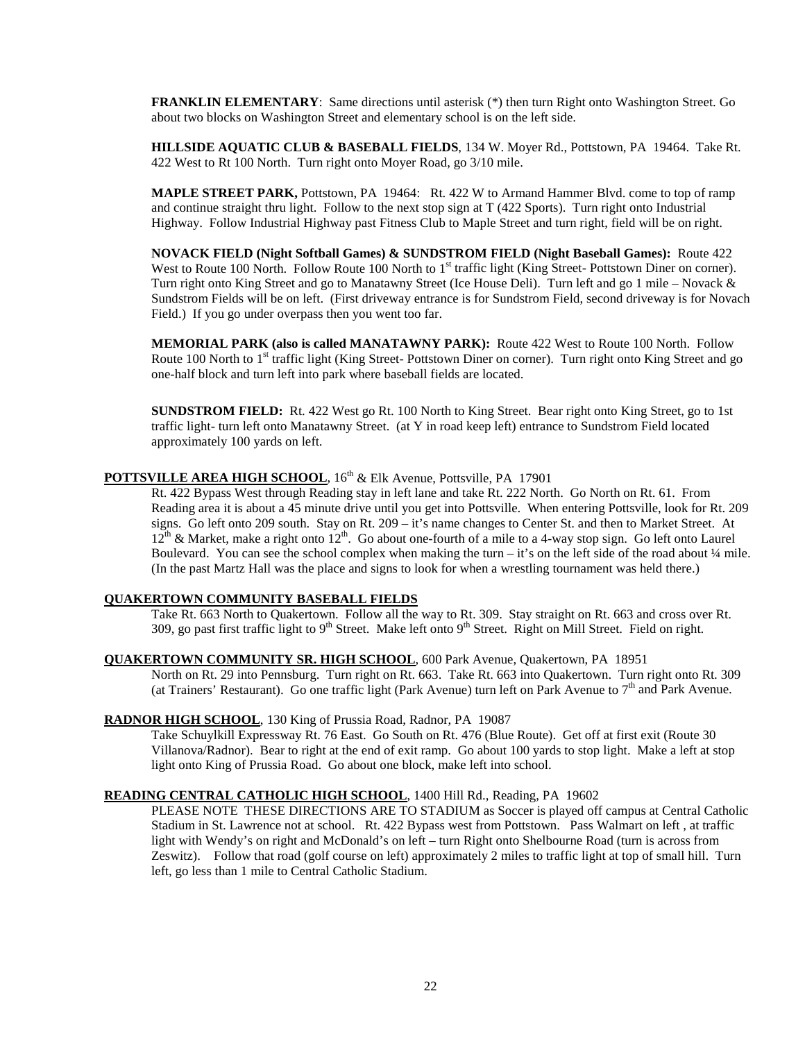**FRANKLIN ELEMENTARY**: Same directions until asterisk (\*) then turn Right onto Washington Street. Go about two blocks on Washington Street and elementary school is on the left side.

**HILLSIDE AQUATIC CLUB & BASEBALL FIELDS**, 134 W. Moyer Rd., Pottstown, PA 19464. Take Rt. 422 West to Rt 100 North. Turn right onto Moyer Road, go 3/10 mile.

**MAPLE STREET PARK,** Pottstown, PA 19464: Rt. 422 W to Armand Hammer Blvd. come to top of ramp and continue straight thru light. Follow to the next stop sign at T (422 Sports). Turn right onto Industrial Highway. Follow Industrial Highway past Fitness Club to Maple Street and turn right, field will be on right.

**NOVACK FIELD (Night Softball Games) & SUNDSTROM FIELD (Night Baseball Games):** Route 422 West to Route 100 North. Follow Route 100 North to 1<sup>st</sup> traffic light (King Street- Pottstown Diner on corner). Turn right onto King Street and go to Manatawny Street (Ice House Deli). Turn left and go 1 mile – Novack & Sundstrom Fields will be on left. (First driveway entrance is for Sundstrom Field, second driveway is for Novach Field.) If you go under overpass then you went too far.

**MEMORIAL PARK (also is called MANATAWNY PARK):** Route 422 West to Route 100 North. Follow Route 100 North to 1<sup>st</sup> traffic light (King Street-Pottstown Diner on corner). Turn right onto King Street and go one-half block and turn left into park where baseball fields are located.

**SUNDSTROM FIELD:** Rt. 422 West go Rt. 100 North to King Street. Bear right onto King Street, go to 1st traffic light- turn left onto Manatawny Street. (at Y in road keep left) entrance to Sundstrom Field located approximately 100 yards on left.

# **POTTSVILLE AREA HIGH SCHOOL**, 16<sup>th</sup> & Elk Avenue, Pottsville, PA 17901

Rt. 422 Bypass West through Reading stay in left lane and take Rt. 222 North. Go North on Rt. 61. From Reading area it is about a 45 minute drive until you get into Pottsville. When entering Pottsville, look for Rt. 209 signs. Go left onto 209 south. Stay on Rt. 209 – it's name changes to Center St. and then to Market Street. At  $12^{th}$  & Market, make a right onto  $12^{th}$ . Go about one-fourth of a mile to a 4-way stop sign. Go left onto Laurel Boulevard. You can see the school complex when making the turn – it's on the left side of the road about  $\frac{1}{4}$  mile. (In the past Martz Hall was the place and signs to look for when a wrestling tournament was held there.)

#### **QUAKERTOWN COMMUNITY BASEBALL FIELDS**

Take Rt. 663 North to Quakertown. Follow all the way to Rt. 309. Stay straight on Rt. 663 and cross over Rt. 309, go past first traffic light to 9<sup>th</sup> Street. Make left onto 9<sup>th</sup> Street. Right on Mill Street. Field on right.

### **QUAKERTOWN COMMUNITY SR. HIGH SCHOOL** , 600 Park Avenue, Quakertown, PA 18951

North on Rt. 29 into Pennsburg. Turn right on Rt. 663. Take Rt. 663 into Quakertown. Turn right onto Rt. 309 (at Trainers' Restaurant). Go one traffic light (Park Avenue) turn left on Park Avenue to  $7<sup>th</sup>$  and Park Avenue.

#### **RADNOR HIGH SCHOOL** , 130 King of Prussia Road, Radnor, PA 19087

Take Schuylkill Expressway Rt. 76 East. Go South on Rt. 476 (Blue Route). Get off at first exit (Route 30 Villanova/Radnor). Bear to right at the end of exit ramp. Go about 100 yards to stop light. Make a left at stop light onto King of Prussia Road. Go about one block, make left into school.

# **READING CENTRAL CATHOLIC HIGH SCHOOL** , 1400 Hill Rd., Reading, PA 19602

PLEASE NOTE THESE DIRECTIONS ARE TO STADIUM as Soccer is played off campus at Central Catholic Stadium in St. Lawrence not at school. Rt. 422 Bypass west from Pottstown. Pass Walmart on left , at traffic light with Wendy's on right and McDonald's on left – turn Right onto Shelbourne Road (turn is across from Zeswitz). Follow that road (golf course on left) approximately 2 miles to traffic light at top of small hill. Turn left, go less than 1 mile to Central Catholic Stadium.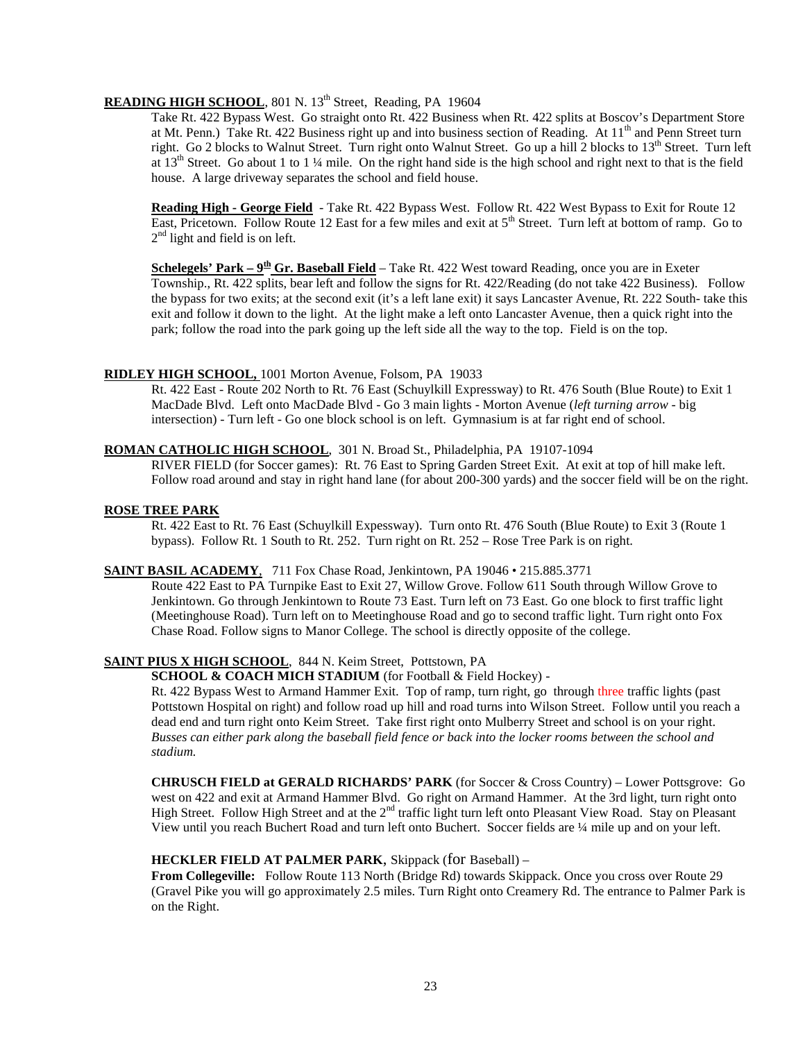# READING HIGH SCHOOL, 801 N. 13<sup>th</sup> Street, Reading, PA 19604

Take Rt. 422 Bypass West. Go straight onto Rt. 422 Business when Rt. 422 splits at Boscov's Department Store at Mt. Penn.) Take Rt. 422 Business right up and into business section of Reading. At 11<sup>th</sup> and Penn Street turn right. Go 2 blocks to Walnut Street. Turn right onto Walnut Street. Go up a hill 2 blocks to 13<sup>th</sup> Street. Turn left at  $13<sup>th</sup>$  Street. Go about 1 to 1 ¼ mile. On the right hand side is the high school and right next to that is the field house. A large driveway separates the school and field house.

**Reading High - George Field** - Take Rt. 422 Bypass West. Follow Rt. 422 West Bypass to Exit for Route 12 East, Pricetown. Follow Route 12 East for a few miles and exit at 5<sup>th</sup> Street. Turn left at bottom of ramp. Go to 2<sup>nd</sup> light and field is on left.

**Schelegels' Park – 9th Gr. Baseball Field** – Take Rt. 422 West toward Reading, once you are in Exeter Township., Rt. 422 splits, bear left and follow the signs for Rt. 422/Reading (do not take 422 Business). Follow the bypass for two exits; at the second exit (it's a left lane exit) it says Lancaster Avenue, Rt. 222 South- take this exit and follow it down to the light. At the light make a left onto Lancaster Avenue, then a quick right into the park; follow the road into the park going up the left side all the way to the top. Field is on the top.

# **RIDLEY HIGH SCHOOL,**  1001 Morton Avenue, Folsom, PA 19033

Rt. 422 East - Route 202 North to Rt. 76 East (Schuylkill Expressway) to Rt. 476 South (Blue Route) to Exit 1 MacDade Blvd. Left onto MacDade Blvd - Go 3 main lights - Morton Avenue (*left turning arrow* - big intersection) - Turn left - Go one block school is on left. Gymnasium is at far right end of school.

# **ROMAN CATHOLIC HIGH SCHOOL** , 301 N. Broad St., Philadelphia, PA 19107-1094

RIVER FIELD (for Soccer games): Rt. 76 East to Spring Garden Street Exit. At exit at top of hill make left. Follow road around and stay in right hand lane (for about 200-300 yards) and the soccer field will be on the right.

# **ROSE TREE PARK**

Rt. 422 East to Rt. 76 East (Schuylkill Expessway). Turn onto Rt. 476 South (Blue Route) to Exit 3 (Route 1 bypass). Follow Rt. 1 South to Rt. 252. Turn right on Rt. 252 – Rose Tree Park is on right.

# **SAINT BASIL ACADEMY**, 711 Fox Chase Road, Jenkintown, PA 19046 • 215.885.3771

Route 422 East to PA Turnpike East to Exit 27, Willow Grove. Follow 611 South through Willow Grove to Jenkintown. Go through Jenkintown to Route 73 East. Turn left on 73 East. Go one block to first traffic light (Meetinghouse Road). Turn left on to Meetinghouse Road and go to second traffic light. Turn right onto Fox Chase Road. Follow signs to Manor College. The school is directly opposite of the college.

# **SAINT PIUS X HIGH SCHOOL** , 844 N. Keim Street, Pottstown, PA

**SCHOOL & COACH MICH STADIUM** (for Football & Field Hockey) -

Rt. 422 Bypass West to Armand Hammer Exit. Top of ramp, turn right, go through three traffic lights (past Pottstown Hospital on right) and follow road up hill and road turns into Wilson Street. Follow until you reach a dead end and turn right onto Keim Street. Take first right onto Mulberry Street and school is on your right. *Busses can either park along the baseball field fence or back into the locker rooms between the school and stadium.*

**CHRUSCH FIELD at GERALD RICHARDS' PARK** (for Soccer & Cross Country) – Lower Pottsgrove: Go west on 422 and exit at Armand Hammer Blvd. Go right on Armand Hammer. At the 3rd light, turn right onto High Street. Follow High Street and at the 2<sup>nd</sup> traffic light turn left onto Pleasant View Road. Stay on Pleasant View until you reach Buchert Road and turn left onto Buchert. Soccer fields are ¼ mile up and on your left.

# **HECKLER FIELD AT PALMER PARK**, Skippack (for Baseball) –

**From Collegeville:** Follow Route 113 North (Bridge Rd) towards Skippack. Once you cross over Route 29 (Gravel Pike you will go approximately 2.5 miles. Turn Right onto Creamery Rd. The entrance to Palmer Park is on the Right.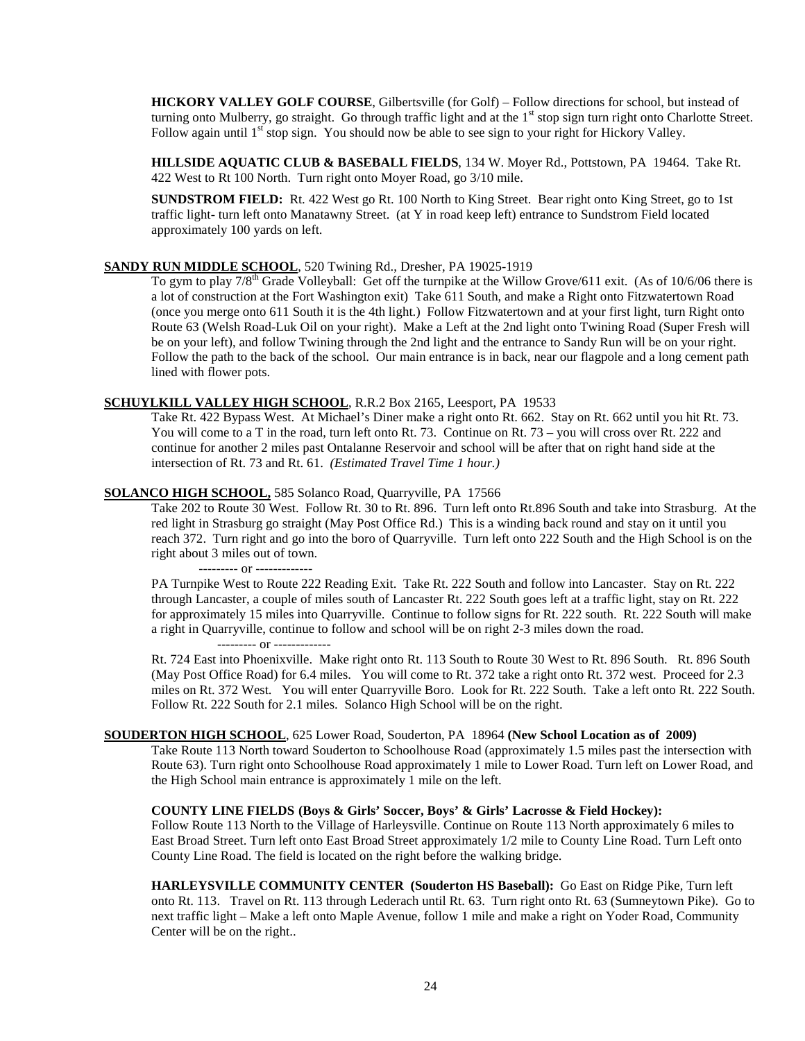**HICKORY VALLEY GOLF COURSE**, Gilbertsville (for Golf) – Follow directions for school, but instead of turning onto Mulberry, go straight. Go through traffic light and at the  $1<sup>st</sup>$  stop sign turn right onto Charlotte Street. Follow again until 1<sup>st</sup> stop sign. You should now be able to see sign to your right for Hickory Valley.

**HILLSIDE AQUATIC CLUB & BASEBALL FIELDS**, 134 W. Moyer Rd., Pottstown, PA 19464. Take Rt. 422 West to Rt 100 North. Turn right onto Moyer Road, go 3/10 mile.

**SUNDSTROM FIELD:** Rt. 422 West go Rt. 100 North to King Street. Bear right onto King Street, go to 1st traffic light- turn left onto Manatawny Street. (at Y in road keep left) entrance to Sundstrom Field located approximately 100 yards on left.

#### **SANDY RUN MIDDLE SCHOOL, 520 Twining Rd., Dresher, PA 19025-1919**

RUN MIDDLE SCHOOL, 520 Twining Rd., Dresher, PA 19025-1919<br>To gym to play 7/8<sup>th</sup> Grade Volleyball: Get off the turnpike at the Willow Grove/611 exit. (As of 10/6/06 there is a lot of construction at the Fort Washington exit) Take 611 South, and make a Right onto Fitzwatertown Road (once you merge onto 611 South it is the 4th light.) Follow Fitzwatertown and at your first light, turn Right onto Route 63 (Welsh Road-Luk Oil on your right). Make a Left at the 2nd light onto Twining Road (Super Fresh will be on your left), and follow Twining through the 2nd light and the entrance to Sandy Run will be on your right. Follow the path to the back of the school. Our main entrance is in back, near our flagpole and a long cement path lined with flower pots.

#### **SCHUYLKILL VALLEY HIGH SCHOOL** , R.R.2 Box 2165, Leesport, PA 19533

Take Rt. 422 Bypass West. At Michael's Diner make a right onto Rt. 662. Stay on Rt. 662 until you hit Rt. 73. You will come to a T in the road, turn left onto Rt. 73. Continue on Rt. 73 – you will cross over Rt. 222 and continue for another 2 miles past Ontalanne Reservoir and school will be after that on right hand side at the intersection of Rt. 73 and Rt. 61. *(Estimated Travel Time 1 hour.)*

#### **SOLANCO HIGH SCHOOL,** 585 Solanco Road, Quarryville, PA 17566

Take 202 to Route 30 West. Follow Rt. 30 to Rt. 896. Turn left onto Rt.896 South and take into Strasburg. At the red light in Strasburg go straight (May Post Office Rd.) This is a winding back round and stay on it until you reach 372. Turn right and go into the boro of Quarryville. Turn left onto 222 South and the High School is on the right about 3 miles out of town.

--------- or -------------

PA Turnpike West to Route 222 Reading Exit. Take Rt. 222 South and follow into Lancaster. Stay on Rt. 222 through Lancaster, a couple of miles south of Lancaster Rt. 222 South goes left at a traffic light, stay on Rt. 222 for approximately 15 miles into Quarryville. Continue to follow signs for Rt. 222 south. Rt. 222 South will make a right in Quarryville, continue to follow and school will be on right 2-3 miles down the road.

--------- or -------------

Rt. 724 East into Phoenixville. Make right onto Rt. 113 South to Route 30 West to Rt. 896 South. Rt. 896 South (May Post Office Road) for 6.4 miles. You will come to Rt. 372 take a right onto Rt. 372 west. Proceed for 2.3 miles on Rt. 372 West. You will enter Quarryville Boro. Look for Rt. 222 South. Take a left onto Rt. 222 South. Follow Rt. 222 South for 2.1 miles. Solanco High School will be on the right.

#### **SOUDERTON HIGH SCHOOL** , 625 Lower Road, Souderton, PA 18964 **(New School Location as of 2009)**

Take Route 113 North toward Souderton to Schoolhouse Road (approximately 1.5 miles past the intersection with Route 63). Turn right onto Schoolhouse Road approximately 1 mile to Lower Road. Turn left on Lower Road, and the High School main entrance is approximately 1 mile on the left.

#### **COUNTY LINE FIELDS (Boys & Girls' Soccer, Boys' & Girls' Lacrosse & Field Hockey):**

Follow Route 113 North to the Village of Harleysville. Continue on Route 113 North approximately 6 miles to East Broad Street. Turn left onto East Broad Street approximately 1/2 mile to County Line Road. Turn Left onto County Line Road. The field is located on the right before the walking bridge.

**HARLEYSVILLE COMMUNITY CENTER (Souderton HS Baseball):** Go East on Ridge Pike, Turn left onto Rt. 113. Travel on Rt. 113 through Lederach until Rt. 63. Turn right onto Rt. 63 (Sumneytown Pike). Go to next traffic light – Make a left onto Maple Avenue, follow 1 mile and make a right on Yoder Road, Community Center will be on the right..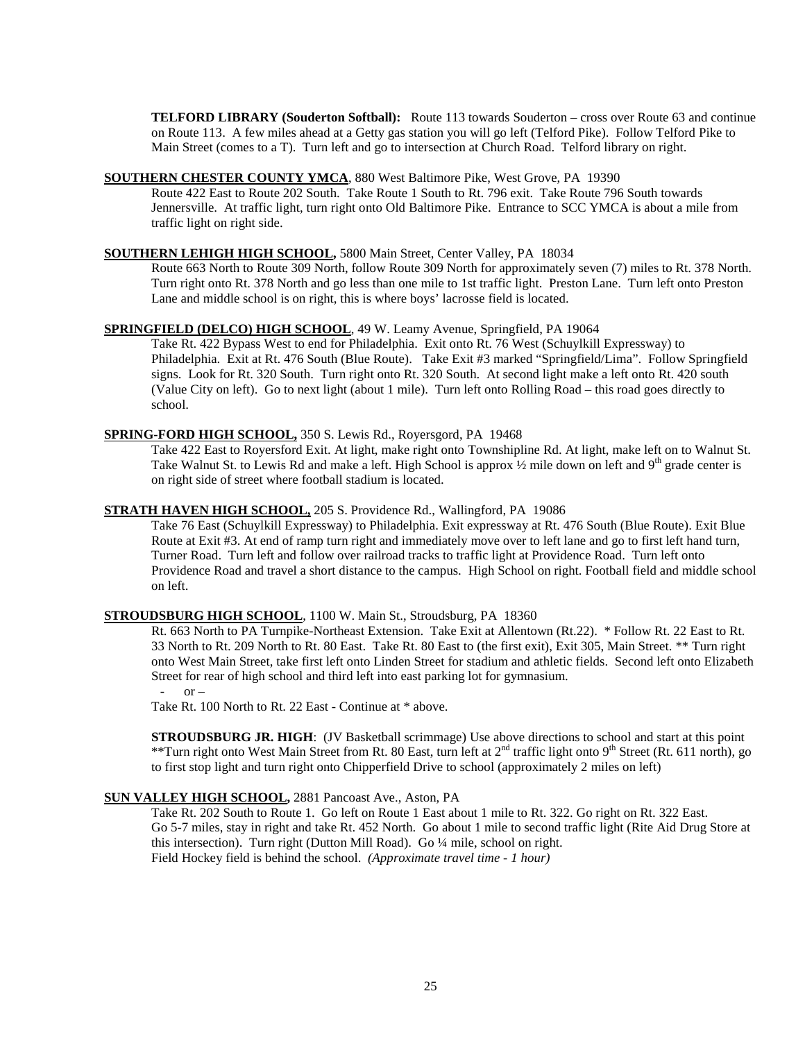**TELFORD LIBRARY (Souderton Softball):** Route 113 towards Souderton – cross over Route 63 and continue on Route 113. A few miles ahead at a Getty gas station you will go left (Telford Pike). Follow Telford Pike to Main Street (comes to a T). Turn left and go to intersection at Church Road. Telford library on right.

#### **SOUTHERN CHESTER COUNTY YMCA** , 880 West Baltimore Pike, West Grove, PA 19390

Route 422 East to Route 202 South. Take Route 1 South to Rt. 796 exit. Take Route 796 South towards Jennersville. At traffic light, turn right onto Old Baltimore Pike. Entrance to SCC YMCA is about a mile from traffic light on right side.

# **SOUTHERN LEHIGH HIGH SCHOOL ,** 5800 Main Street, Center Valley, PA 18034

Route 663 North to Route 309 North, follow Route 309 North for approximately seven (7) miles to Rt. 378 North. Turn right onto Rt. 378 North and go less than one mile to 1st traffic light. Preston Lane. Turn left onto Preston Lane and middle school is on right, this is where boys' lacrosse field is located.

#### **SPRINGFIELD (DELCO) HIGH SCHOOL** , 49 W. Leamy Avenue, Springfield, PA 19064

Take Rt. 422 Bypass West to end for Philadelphia. Exit onto Rt. 76 West (Schuylkill Expressway) to Philadelphia. Exit at Rt. 476 South (Blue Route). Take Exit #3 marked "Springfield/Lima". Follow Springfield signs. Look for Rt. 320 South. Turn right onto Rt. 320 South. At second light make a left onto Rt. 420 south (Value City on left). Go to next light (about 1 mile). Turn left onto Rolling Road – this road goes directly to school.

#### **SPRING-FORD HIGH SCHOOL,** 350 S. Lewis Rd., Royersgord, PA 19468

Take 422 East to Royersford Exit. At light, make right onto Townshipline Rd. At light, make left on to Walnut St. Take Walnut St. to Lewis Rd and make a left. High School is approx 1/2 mile down on left and 9<sup>th</sup> grade center is on right side of street where football stadium is located.

#### **STRATH HAVEN HIGH SCHOOL,** 205 S. Providence Rd., Wallingford, PA 19086

Take 76 East (Schuylkill Expressway) to Philadelphia. Exit expressway at Rt. 476 South (Blue Route). Exit Blue Route at Exit #3. At end of ramp turn right and immediately move over to left lane and go to first left hand turn, Turner Road. Turn left and follow over railroad tracks to traffic light at Providence Road. Turn left onto Providence Road and travel a short distance to the campus. High School on right. Football field and middle school on left.

#### **STROUDSBURG HIGH SCHOOL** , 1100 W. Main St., Stroudsburg, PA 18360

Rt. 663 North to PA Turnpike-Northeast Extension. Take Exit at Allentown (Rt.22). \* Follow Rt. 22 East to Rt. 33 North to Rt. 209 North to Rt. 80 East. Take Rt. 80 East to (the first exit), Exit 305, Main Street. \*\* Turn right onto West Main Street, take first left onto Linden Street for stadium and athletic fields. Second left onto Elizabeth Street for rear of high school and third left into east parking lot for gymnasium.

 $\alpha r$  –

Take Rt. 100 North to Rt. 22 East - Continue at \* above.

**STROUDSBURG JR. HIGH**: (JV Basketball scrimmage) Use above directions to school and start at this point \*\*Turn right onto West Main Street from Rt. 80 East, turn left at 2<sup>nd</sup> traffic light onto 9<sup>th</sup> Street (Rt. 611 north), go to first stop light and turn right onto Chipperfield Drive to school (approximately 2 miles on left)

#### **SUN VALLEY HIGH SCHOOL ,** 2881 Pancoast Ave., Aston, PA

Take Rt. 202 South to Route 1. Go left on Route 1 East about 1 mile to Rt. 322. Go right on Rt. 322 East. Go 5-7 miles, stay in right and take Rt. 452 North. Go about 1 mile to second traffic light (Rite Aid Drug Store at this intersection). Turn right (Dutton Mill Road). Go ¼ mile, school on right. Field Hockey field is behind the school. *(Approximate travel time - 1 hour)*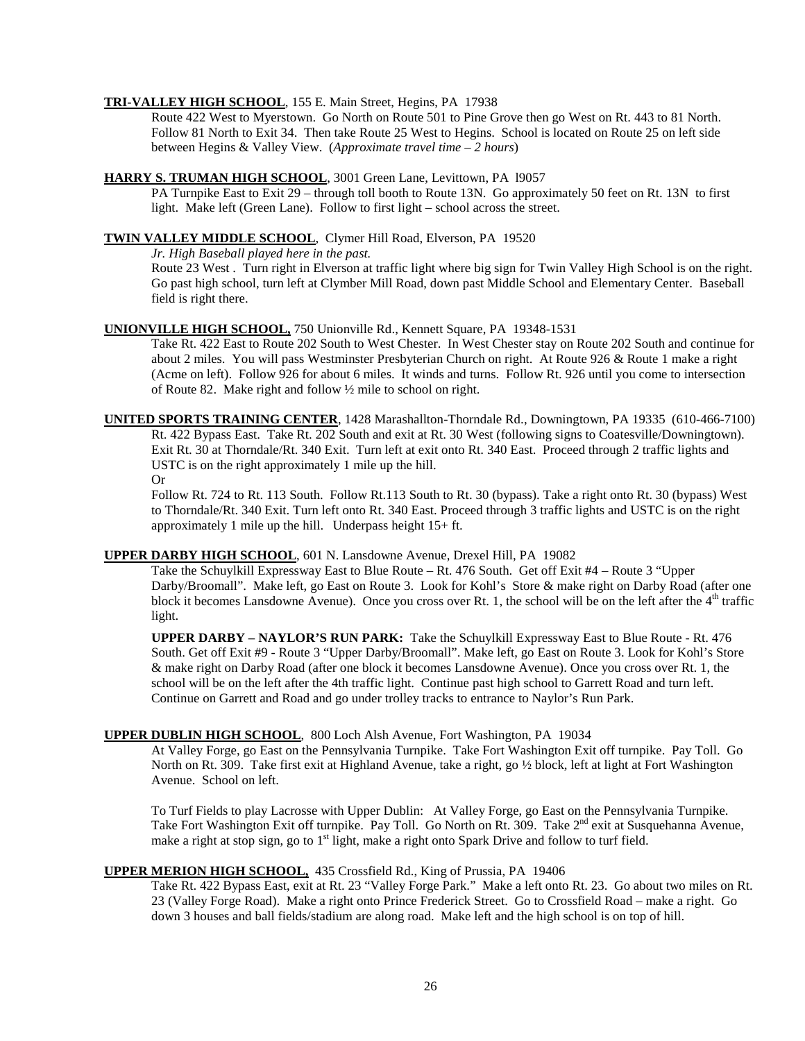# **TRI-VALLEY HIGH SCHOOL** , 155 E. Main Street, Hegins, PA 17938

Route 422 West to Myerstown. Go North on Route 501 to Pine Grove then go West on Rt. 443 to 81 North. Follow 81 North to Exit 34. Then take Route 25 West to Hegins. School is located on Route 25 on left side between Hegins & Valley View. (*Approximate travel time – 2 hours*)

# **HARRY S. TRUMAN HIGH SCHOOL** , 3001 Green Lane, Levittown, PA l9057

PA Turnpike East to Exit 29 – through toll booth to Route 13N. Go approximately 50 feet on Rt. 13N to first light. Make left (Green Lane). Follow to first light – school across the street.

# **TWIN VALLEY MIDDLE SCHOOL** , Clymer Hill Road, Elverson, PA 19520

*Jr. High Baseball played here in the past.*

Route 23 West . Turn right in Elverson at traffic light where big sign for Twin Valley High School is on the right. Go past high school, turn left at Clymber Mill Road, down past Middle School and Elementary Center. Baseball field is right there.

# **UNIONVILLE HIGH SCHOOL,** 750 Unionville Rd., Kennett Square, PA 19348-1531

Take Rt. 422 East to Route 202 South to West Chester. In West Chester stay on Route 202 South and continue for about 2 miles. You will pass Westminster Presbyterian Church on right. At Route 926 & Route 1 make a right (Acme on left). Follow 926 for about 6 miles. It winds and turns. Follow Rt. 926 until you come to intersection of Route 82. Make right and follow ½ mile to school on right.

**UNITED SPORTS TRAINING CENTER** , 1428 Marashallton-Thorndale Rd., Downingtown, PA 19335 (610-466-7100) Rt. 422 Bypass East. Take Rt. 202 South and exit at Rt. 30 West (following signs to Coatesville/Downingtown). Exit Rt. 30 at Thorndale/Rt. 340 Exit. Turn left at exit onto Rt. 340 East. Proceed through 2 traffic lights and USTC is on the right approximately 1 mile up the hill.

Or

Follow Rt. 724 to Rt. 113 South. Follow Rt.113 South to Rt. 30 (bypass). Take a right onto Rt. 30 (bypass) West to Thorndale/Rt. 340 Exit. Turn left onto Rt. 340 East. Proceed through 3 traffic lights and USTC is on the right approximately 1 mile up the hill. Underpass height 15+ ft.

# **UPPER DARBY HIGH SCHOOL** , 601 N. Lansdowne Avenue, Drexel Hill, PA 19082

Take the Schuylkill Expressway East to Blue Route – Rt. 476 South. Get off Exit #4 – Route 3 "Upper Darby/Broomall". Make left, go East on Route 3. Look for Kohl's Store & make right on Darby Road (after one block it becomes Lansdowne Avenue). Once you cross over Rt. 1, the school will be on the left after the  $4<sup>th</sup>$  traffic light.

**UPPER DARBY – NAYLOR'S RUN PARK:** Take the Schuylkill Expressway East to Blue Route - Rt. 476 South. Get off Exit #9 - Route 3 "Upper Darby/Broomall". Make left, go East on Route 3. Look for Kohl's Store & make right on Darby Road (after one block it becomes Lansdowne Avenue). Once you cross over Rt. 1, the school will be on the left after the 4th traffic light. Continue past high school to Garrett Road and turn left. Continue on Garrett and Road and go under trolley tracks to entrance to Naylor's Run Park.

#### **UPPER DUBLIN HIGH SCHOOL** , 800 Loch Alsh Avenue, Fort Washington, PA 19034

At Valley Forge, go East on the Pennsylvania Turnpike. Take Fort Washington Exit off turnpike. Pay Toll. Go North on Rt. 309. Take first exit at Highland Avenue, take a right, go ½ block, left at light at Fort Washington Avenue. School on left.

To Turf Fields to play Lacrosse with Upper Dublin: At Valley Forge, go East on the Pennsylvania Turnpike. Take Fort Washington Exit off turnpike. Pay Toll. Go North on Rt. 309. Take 2<sup>nd</sup> exit at Susquehanna Avenue, make a right at stop sign, go to  $1<sup>st</sup>$  light, make a right onto Spark Drive and follow to turf field.

# **UPPER MERION HIGH SCHOOL,** 435 Crossfield Rd., King of Prussia, PA 19406

Take Rt. 422 Bypass East, exit at Rt. 23 "Valley Forge Park." Make a left onto Rt. 23. Go about two miles on Rt. 23 (Valley Forge Road). Make a right onto Prince Frederick Street. Go to Crossfield Road – make a right. Go down 3 houses and ball fields/stadium are along road. Make left and the high school is on top of hill.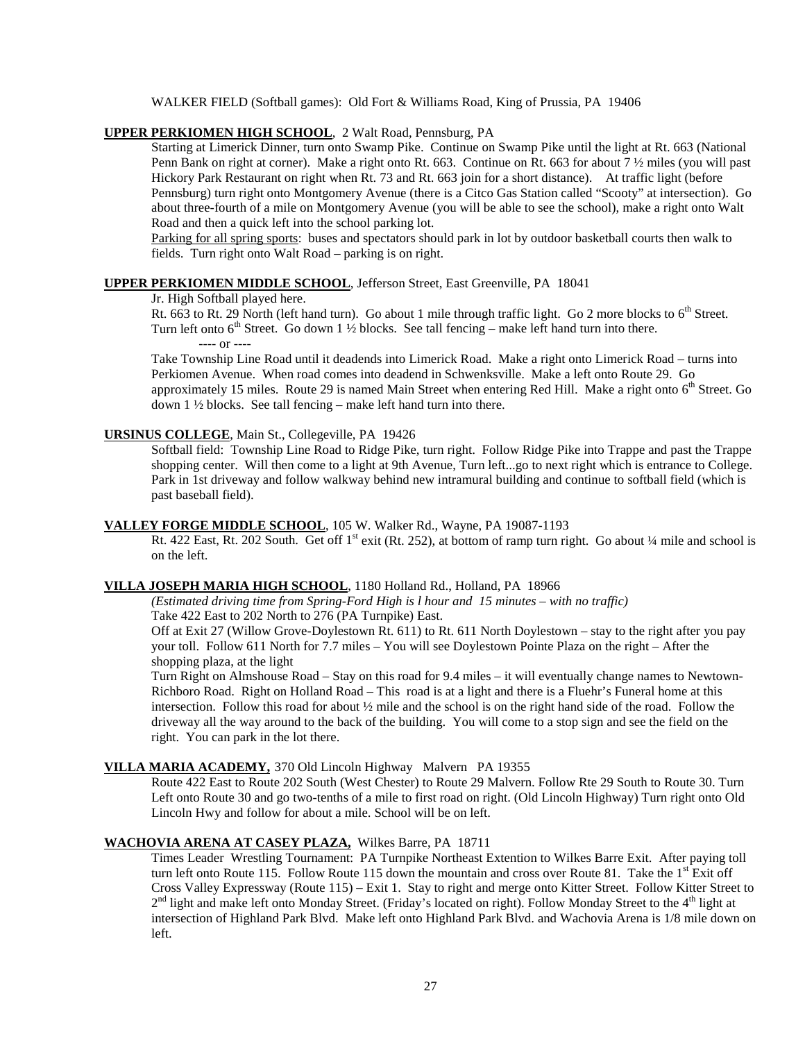WALKER FIELD (Softball games): Old Fort & Williams Road, King of Prussia, PA 19406

# **UPPER PERKIOMEN HIGH SCHOOL** , 2 Walt Road, Pennsburg, PA

Starting at Limerick Dinner, turn onto Swamp Pike. Continue on Swamp Pike until the light at Rt. 663 (National Penn Bank on right at corner). Make a right onto Rt. 663. Continue on Rt. 663 for about 7 ½ miles (you will past Hickory Park Restaurant on right when Rt. 73 and Rt. 663 join for a short distance). At traffic light (before Pennsburg) turn right onto Montgomery Avenue (there is a Citco Gas Station called "Scooty" at intersection). Go about three-fourth of a mile on Montgomery Avenue (you will be able to see the school), make a right onto Walt Road and then a quick left into the school parking lot.

Parking for all spring sports: buses and spectators should park in lot by outdoor basketball courts then walk to fields. Turn right onto Walt Road – parking is on right.

### **UPPER PERKIOMEN MIDDLE SCHOOL** , Jefferson Street, East Greenville, PA 18041

#### Jr. High Softball played here.

Rt. 663 to Rt. 29 North (left hand turn). Go about 1 mile through traffic light. Go 2 more blocks to  $6<sup>th</sup>$  Street. Turn left onto  $6<sup>th</sup>$  Street. Go down 1 ½ blocks. See tall fencing – make left hand turn into there.

---- or ----

Take Township Line Road until it deadends into Limerick Road. Make a right onto Limerick Road – turns into Perkiomen Avenue. When road comes into deadend in Schwenksville. Make a left onto Route 29. Go approximately 15 miles. Route 29 is named Main Street when entering Red Hill. Make a right onto 6<sup>th</sup> Street. Go down 1 ½ blocks. See tall fencing – make left hand turn into there.

#### **URSINUS COLLEGE** , Main St., Collegeville, PA 19426

Softball field: Township Line Road to Ridge Pike, turn right. Follow Ridge Pike into Trappe and past the Trappe shopping center. Will then come to a light at 9th Avenue, Turn left...go to next right which is entrance to College. Park in 1st driveway and follow walkway behind new intramural building and continue to softball field (which is past baseball field).

#### VALLEY FORGE MIDDLE SCHOOL, 105 W. Walker Rd., Wayne, PA 19087-1193

Y FORGE MIDDLE SCHOOL, 105 W. Walker Rd., Wayne, PA 19087-1193<br>Rt. 422 East, Rt. 202 South. Get off 1<sup>st</sup> exit (Rt. 252), at bottom of ramp turn right. Go about ¼ mile and school is on the left.

# **VILLA JOSEPH MARIA HIGH SCHOOL** , 1180 Holland Rd., Holland, PA 18966

*(Estimated driving time from Spring-Ford High is l hour and 15 minutes – with no traffic)*

Take 422 East to 202 North to 276 (PA Turnpike) East.

Off at Exit 27 (Willow Grove-Doylestown Rt. 611) to Rt. 611 North Doylestown – stay to the right after you pay your toll. Follow 611 North for 7.7 miles – You will see Doylestown Pointe Plaza on the right – After the shopping plaza, at the light

Turn Right on Almshouse Road – Stay on this road for 9.4 miles – it will eventually change names to Newtown-Richboro Road. Right on Holland Road – This road is at a light and there is a Fluehr's Funeral home at this intersection. Follow this road for about  $\frac{1}{2}$  mile and the school is on the right hand side of the road. Follow the driveway all the way around to the back of the building. You will come to a stop sign and see the field on the right. You can park in the lot there.

#### **VILLA MARIA ACADEMY,** 370 Old Lincoln Highway Malvern PA 19355

Route 422 East to Route 202 South (West Chester) to Route 29 Malvern. Follow Rte 29 South to Route 30. Turn Left onto Route 30 and go two-tenths of a mile to first road on right. (Old Lincoln Highway) Turn right onto Old Lincoln Hwy and follow for about a mile. School will be on left.

# **WACHOVIA ARENA AT CASEY PLAZA,** Wilkes Barre, PA 18711

Times Leader Wrestling Tournament: PA Turnpike Northeast Extention to Wilkes Barre Exit. After paying toll turn left onto Route 115. Follow Route 115 down the mountain and cross over Route 81. Take the  $1^{st}$  Exit off Cross Valley Expressway (Route 115) – Exit 1. Stay to right and merge onto Kitter Street. Follow Kitter Street to 2<sup>nd</sup> light and make left onto Monday Street. (Friday's located on right). Follow Monday Street to the 4<sup>th</sup> light at intersection of Highland Park Blvd. Make left onto Highland Park Blvd. and Wachovia Arena is 1/8 mile down on left.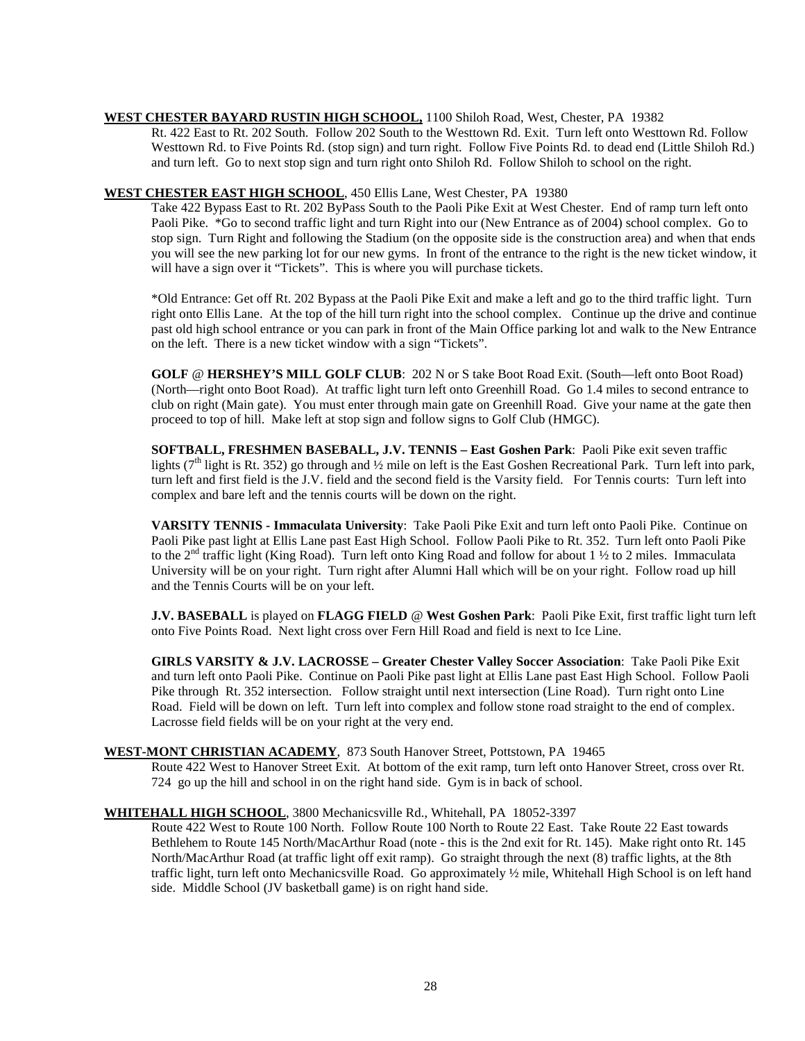# **WEST CHESTER BAYARD RUSTIN HIGH SCHOOL,** 1100 Shiloh Road, West, Chester, PA 19382

Rt. 422 East to Rt. 202 South. Follow 202 South to the Westtown Rd. Exit. Turn left onto Westtown Rd. Follow Westtown Rd. to Five Points Rd. (stop sign) and turn right. Follow Five Points Rd. to dead end (Little Shiloh Rd.) and turn left. Go to next stop sign and turn right onto Shiloh Rd. Follow Shiloh to school on the right.

#### **WEST CHESTER EAST HIGH SCHOOL** , 450 Ellis Lane, West Chester, PA 19380

Take 422 Bypass East to Rt. 202 ByPass South to the Paoli Pike Exit at West Chester. End of ramp turn left onto Paoli Pike. \*Go to second traffic light and turn Right into our (New Entrance as of 2004) school complex. Go to stop sign. Turn Right and following the Stadium (on the opposite side is the construction area) and when that ends you will see the new parking lot for our new gyms. In front of the entrance to the right is the new ticket window, it will have a sign over it "Tickets". This is where you will purchase tickets.

\*Old Entrance: Get off Rt. 202 Bypass at the Paoli Pike Exit and make a left and go to the third traffic light. Turn right onto Ellis Lane. At the top of the hill turn right into the school complex. Continue up the drive and continue past old high school entrance or you can park in front of the Main Office parking lot and walk to the New Entrance on the left. There is a new ticket window with a sign "Tickets".

**GOLF** @ **HERSHEY'S MILL GOLF CLUB**: 202 N or S take Boot Road Exit. (South—left onto Boot Road) (North—right onto Boot Road). At traffic light turn left onto Greenhill Road. Go 1.4 miles to second entrance to club on right (Main gate). You must enter through main gate on Greenhill Road. Give your name at the gate then proceed to top of hill. Make left at stop sign and follow signs to Golf Club (HMGC).

**SOFTBALL, FRESHMEN BASEBALL, J.V. TENNIS – East Goshen Park**: Paoli Pike exit seven traffic lights ( $7<sup>th</sup>$  light is Rt. 352) go through and ½ mile on left is the East Goshen Recreational Park. Turn left into park, turn left and first field is the J.V. field and the second field is the Varsity field. For Tennis courts: Turn left into complex and bare left and the tennis courts will be down on the right.

**VARSITY TENNIS - Immaculata University**: Take Paoli Pike Exit and turn left onto Paoli Pike. Continue on Paoli Pike past light at Ellis Lane past East High School. Follow Paoli Pike to Rt. 352. Turn left onto Paoli Pike to the 2<sup>nd</sup> traffic light (King Road). Turn left onto King Road and follow for about 1  $\frac{1}{2}$  to 2 miles. Immaculata University will be on your right. Turn right after Alumni Hall which will be on your right. Follow road up hill and the Tennis Courts will be on your left.

**J.V. BASEBALL** is played on **FLAGG FIELD** @ **West Goshen Park**: Paoli Pike Exit, first traffic light turn left onto Five Points Road. Next light cross over Fern Hill Road and field is next to Ice Line.

**GIRLS VARSITY & J.V. LACROSSE – Greater Chester Valley Soccer Association**: Take Paoli Pike Exit and turn left onto Paoli Pike. Continue on Paoli Pike past light at Ellis Lane past East High School. Follow Paoli Pike through Rt. 352 intersection. Follow straight until next intersection (Line Road). Turn right onto Line Road. Field will be down on left. Turn left into complex and follow stone road straight to the end of complex. Lacrosse field fields will be on your right at the very end.

#### **WEST-MONT CHRISTIAN ACADEMY** , 873 South Hanover Street, Pottstown, PA 19465

Route 422 West to Hanover Street Exit. At bottom of the exit ramp, turn left onto Hanover Street, cross over Rt. 724 go up the hill and school in on the right hand side. Gym is in back of school.

# **WHITEHALL HIGH SCHOOL** , 3800 Mechanicsville Rd., Whitehall, PA 18052-3397

Route 422 West to Route 100 North. Follow Route 100 North to Route 22 East. Take Route 22 East towards Bethlehem to Route 145 North/MacArthur Road (note - this is the 2nd exit for Rt. 145). Make right onto Rt. 145 North/MacArthur Road (at traffic light off exit ramp). Go straight through the next (8) traffic lights, at the 8th traffic light, turn left onto Mechanicsville Road. Go approximately ½ mile, Whitehall High School is on left hand side. Middle School (JV basketball game) is on right hand side.